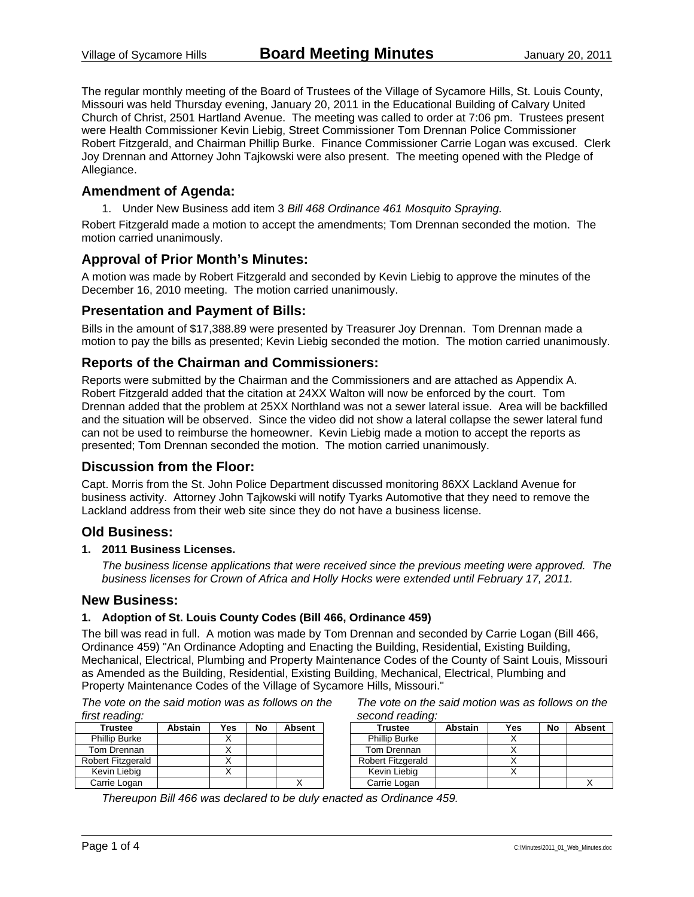The regular monthly meeting of the Board of Trustees of the Village of Sycamore Hills, St. Louis County, Missouri was held Thursday evening, January 20, 2011 in the Educational Building of Calvary United Church of Christ, 2501 Hartland Avenue. The meeting was called to order at 7:06 pm. Trustees present were Health Commissioner Kevin Liebig, Street Commissioner Tom Drennan Police Commissioner Robert Fitzgerald, and Chairman Phillip Burke. Finance Commissioner Carrie Logan was excused. Clerk Joy Drennan and Attorney John Tajkowski were also present. The meeting opened with the Pledge of Allegiance.

### **Amendment of Agenda:**

1. Under New Business add item 3 *Bill 468 Ordinance 461 Mosquito Spraying.*

Robert Fitzgerald made a motion to accept the amendments; Tom Drennan seconded the motion. The motion carried unanimously.

### **Approval of Prior Month's Minutes:**

A motion was made by Robert Fitzgerald and seconded by Kevin Liebig to approve the minutes of the December 16, 2010 meeting. The motion carried unanimously.

### **Presentation and Payment of Bills:**

Bills in the amount of \$17,388.89 were presented by Treasurer Joy Drennan. Tom Drennan made a motion to pay the bills as presented; Kevin Liebig seconded the motion. The motion carried unanimously.

### **Reports of the Chairman and Commissioners:**

Reports were submitted by the Chairman and the Commissioners and are attached as Appendix A. Robert Fitzgerald added that the citation at 24XX Walton will now be enforced by the court. Tom Drennan added that the problem at 25XX Northland was not a sewer lateral issue. Area will be backfilled and the situation will be observed. Since the video did not show a lateral collapse the sewer lateral fund can not be used to reimburse the homeowner. Kevin Liebig made a motion to accept the reports as presented; Tom Drennan seconded the motion. The motion carried unanimously.

### **Discussion from the Floor:**

Capt. Morris from the St. John Police Department discussed monitoring 86XX Lackland Avenue for business activity. Attorney John Tajkowski will notify Tyarks Automotive that they need to remove the Lackland address from their web site since they do not have a business license.

### **Old Business:**

### **1. 2011 Business Licenses.**

*The business license applications that were received since the previous meeting were approved. The business licenses for Crown of Africa and Holly Hocks were extended until February 17, 2011.* 

#### **New Business:**

#### **1. Adoption of St. Louis County Codes (Bill 466, Ordinance 459)**

The bill was read in full. A motion was made by Tom Drennan and seconded by Carrie Logan (Bill 466, Ordinance 459) "An Ordinance Adopting and Enacting the Building, Residential, Existing Building, Mechanical, Electrical, Plumbing and Property Maintenance Codes of the County of Saint Louis, Missouri as Amended as the Building, Residential, Existing Building, Mechanical, Electrical, Plumbing and Property Maintenance Codes of the Village of Sycamore Hills, Missouri."

*The vote on the said motion was as follows on the first reading:* 

| Trustee                  | <b>Abstain</b> | Yes | No | <b>Absent</b> |
|--------------------------|----------------|-----|----|---------------|
| <b>Phillip Burke</b>     |                |     |    |               |
| Tom Drennan              |                |     |    |               |
| <b>Robert Fitzgerald</b> |                |     |    |               |
| Kevin Liebig             |                |     |    |               |
| Carrie Logan             |                |     |    |               |

*The vote on the said motion was as follows on the second reading:* 

| <b>Trustee</b>           | <b>Abstain</b> | Yes | No | <b>Absent</b> |
|--------------------------|----------------|-----|----|---------------|
| <b>Phillip Burke</b>     |                |     |    |               |
| Tom Drennan              |                |     |    |               |
| <b>Robert Fitzgerald</b> |                |     |    |               |
| Kevin Liebig             |                |     |    |               |
| Carrie Logan             |                |     |    |               |

*Thereupon Bill 466 was declared to be duly enacted as Ordinance 459.*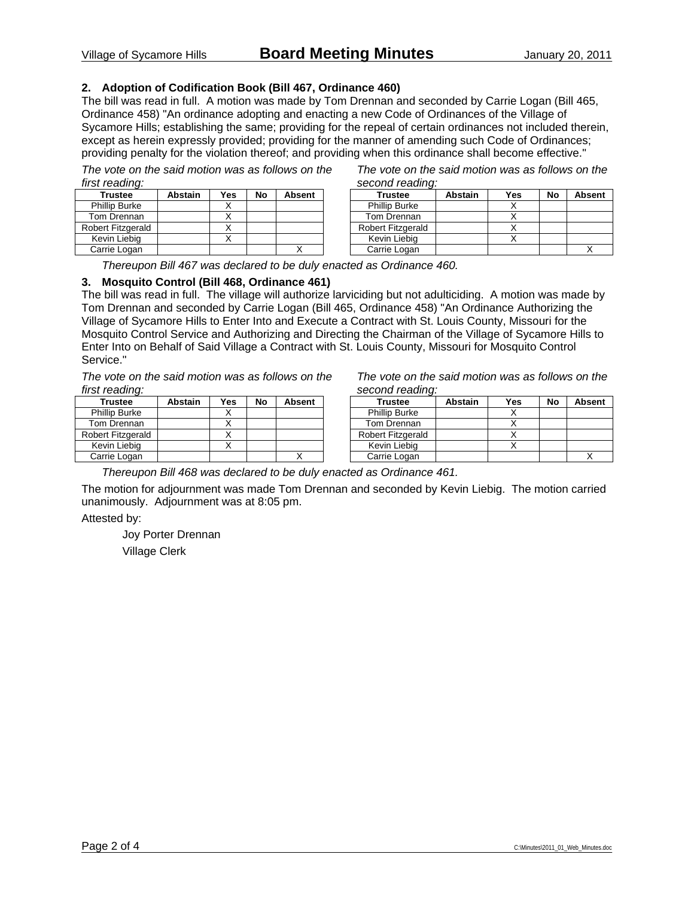### **2. Adoption of Codification Book (Bill 467, Ordinance 460)**

The bill was read in full. A motion was made by Tom Drennan and seconded by Carrie Logan (Bill 465, Ordinance 458) "An ordinance adopting and enacting a new Code of Ordinances of the Village of Sycamore Hills; establishing the same; providing for the repeal of certain ordinances not included therein, except as herein expressly provided; providing for the manner of amending such Code of Ordinances; providing penalty for the violation thereof; and providing when this ordinance shall become effective."

*The vote on the said motion was as follows on the first reading:* 

| <b>Trustee</b>       | <b>Abstain</b> | Yes | No | <b>Absent</b> |
|----------------------|----------------|-----|----|---------------|
| <b>Phillip Burke</b> |                |     |    |               |
| Tom Drennan          |                |     |    |               |
| Robert Fitzgerald    |                |     |    |               |
| Kevin Liebig         |                |     |    |               |
| Carrie Logan         |                |     |    |               |

*The vote on the said motion was as follows on the second reading:* 

| <b>Trustee</b>       | <b>Abstain</b> | Yes | No | <b>Absent</b> |  |
|----------------------|----------------|-----|----|---------------|--|
| <b>Phillip Burke</b> |                |     |    |               |  |
| Tom Drennan          |                |     |    |               |  |
| Robert Fitzgerald    |                |     |    |               |  |
| Kevin Liebig         |                |     |    |               |  |
| Carrie Logan         |                |     |    |               |  |

*Thereupon Bill 467 was declared to be duly enacted as Ordinance 460.* 

### **3. Mosquito Control (Bill 468, Ordinance 461)**

The bill was read in full. The village will authorize larviciding but not adulticiding. A motion was made by Tom Drennan and seconded by Carrie Logan (Bill 465, Ordinance 458) "An Ordinance Authorizing the Village of Sycamore Hills to Enter Into and Execute a Contract with St. Louis County, Missouri for the Mosquito Control Service and Authorizing and Directing the Chairman of the Village of Sycamore Hills to Enter Into on Behalf of Said Village a Contract with St. Louis County, Missouri for Mosquito Control Service."

*The vote on the said motion was as follows on the first reading:* 

| <b>Trustee</b>           | <b>Abstain</b> | Yes | No | <b>Absent</b> |
|--------------------------|----------------|-----|----|---------------|
| <b>Phillip Burke</b>     |                |     |    |               |
| Tom Drennan              |                |     |    |               |
| <b>Robert Fitzgerald</b> |                |     |    |               |
| Kevin Liebig             |                |     |    |               |
| Carrie Logan             |                |     |    |               |

*The vote on the said motion was as follows on the second reading:* 

| <b>Trustee</b>       | <b>Abstain</b> | Yes | No | <b>Absent</b> |
|----------------------|----------------|-----|----|---------------|
| <b>Phillip Burke</b> |                |     |    |               |
| Tom Drennan          |                |     |    |               |
| Robert Fitzgerald    |                |     |    |               |
| Kevin Liebig         |                |     |    |               |
| Carrie Logan         |                |     |    |               |

*Thereupon Bill 468 was declared to be duly enacted as Ordinance 461.* 

The motion for adjournment was made Tom Drennan and seconded by Kevin Liebig. The motion carried unanimously. Adjournment was at 8:05 pm.

Attested by:

 Joy Porter Drennan Village Clerk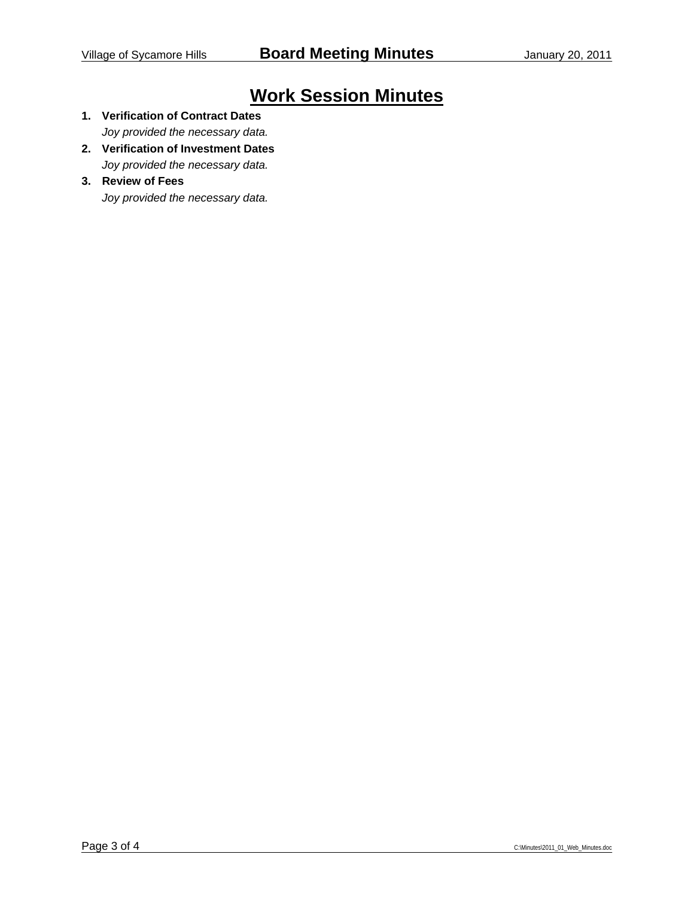# **Work Session Minutes**

- **1. Verification of Contract Dates**  *Joy provided the necessary data.*
- **2. Verification of Investment Dates**  *Joy provided the necessary data.*
- **3. Review of Fees**

*Joy provided the necessary data.*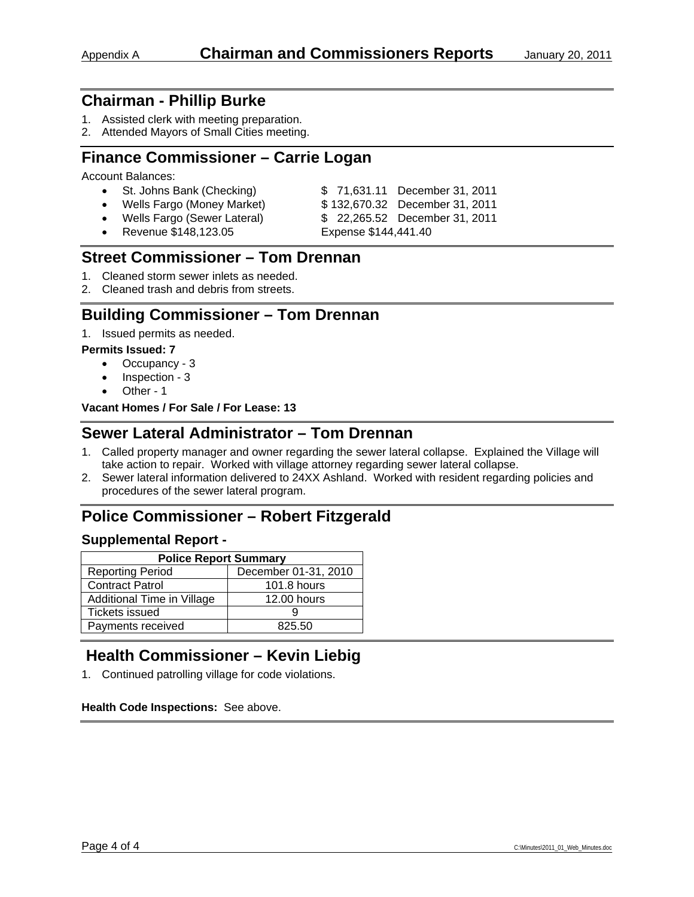- 1. Assisted clerk with meeting preparation.
- 2. Attended Mayors of Small Cities meeting.

## **Finance Commissioner – Carrie Logan**

Account Balances:

| • St. Johns Bank (Checking)   | \$71,631.11 December 31, 2011  |
|-------------------------------|--------------------------------|
| • Wells Fargo (Money Market)  | \$132,670.32 December 31, 2011 |
| • Wells Fargo (Sewer Lateral) | \$22,265.52 December 31, 2011  |
| • Revenue \$148,123.05        | Expense \$144,441.40           |

## **Street Commissioner – Tom Drennan**

- 1. Cleaned storm sewer inlets as needed.
- 2. Cleaned trash and debris from streets.

### **Building Commissioner – Tom Drennan**

1. Issued permits as needed.

### **Permits Issued: 7**

- Occupancy 3
- Inspection 3
- Other 1

**Vacant Homes / For Sale / For Lease: 13** 

### **Sewer Lateral Administrator – Tom Drennan**

- 1. Called property manager and owner regarding the sewer lateral collapse. Explained the Village will take action to repair. Worked with village attorney regarding sewer lateral collapse.
- 2. Sewer lateral information delivered to 24XX Ashland. Worked with resident regarding policies and procedures of the sewer lateral program.

# **Police Commissioner – Robert Fitzgerald**

### **Supplemental Report -**

| <b>Police Report Summary</b>                    |                    |  |  |  |
|-------------------------------------------------|--------------------|--|--|--|
| December 01-31, 2010<br><b>Reporting Period</b> |                    |  |  |  |
| <b>Contract Patrol</b>                          | <b>101.8 hours</b> |  |  |  |
| Additional Time in Village                      | 12.00 hours        |  |  |  |
| <b>Tickets issued</b>                           |                    |  |  |  |
| Payments received                               | 825.50             |  |  |  |

# **Health Commissioner – Kevin Liebig**

1. Continued patrolling village for code violations.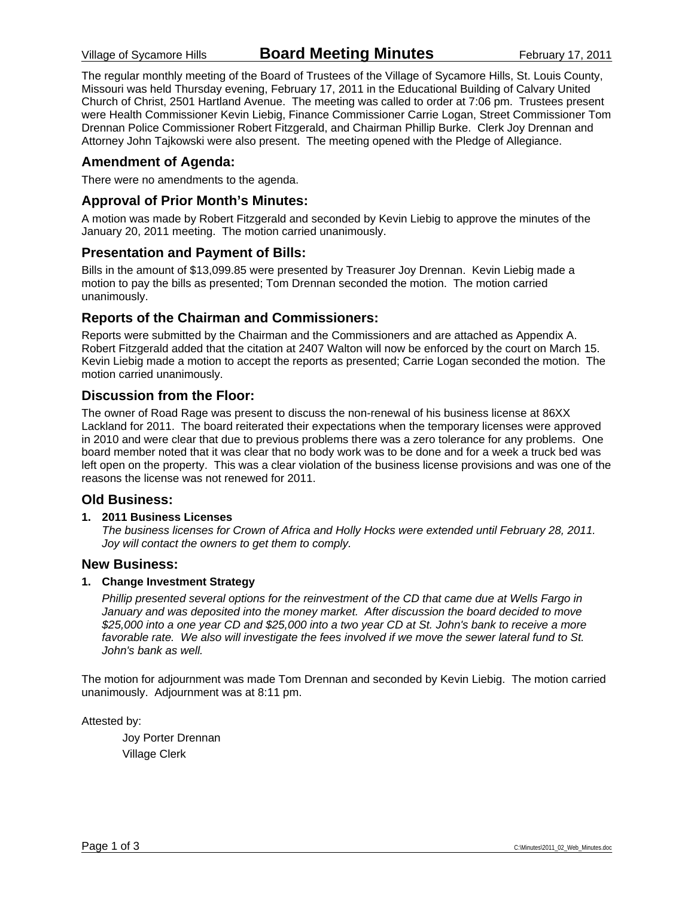The regular monthly meeting of the Board of Trustees of the Village of Sycamore Hills, St. Louis County, Missouri was held Thursday evening, February 17, 2011 in the Educational Building of Calvary United Church of Christ, 2501 Hartland Avenue. The meeting was called to order at 7:06 pm. Trustees present were Health Commissioner Kevin Liebig, Finance Commissioner Carrie Logan, Street Commissioner Tom Drennan Police Commissioner Robert Fitzgerald, and Chairman Phillip Burke. Clerk Joy Drennan and Attorney John Tajkowski were also present. The meeting opened with the Pledge of Allegiance.

### **Amendment of Agenda:**

There were no amendments to the agenda.

### **Approval of Prior Month's Minutes:**

A motion was made by Robert Fitzgerald and seconded by Kevin Liebig to approve the minutes of the January 20, 2011 meeting. The motion carried unanimously.

### **Presentation and Payment of Bills:**

Bills in the amount of \$13,099.85 were presented by Treasurer Joy Drennan. Kevin Liebig made a motion to pay the bills as presented; Tom Drennan seconded the motion. The motion carried unanimously.

### **Reports of the Chairman and Commissioners:**

Reports were submitted by the Chairman and the Commissioners and are attached as Appendix A. Robert Fitzgerald added that the citation at 2407 Walton will now be enforced by the court on March 15. Kevin Liebig made a motion to accept the reports as presented; Carrie Logan seconded the motion. The motion carried unanimously.

### **Discussion from the Floor:**

The owner of Road Rage was present to discuss the non-renewal of his business license at 86XX Lackland for 2011. The board reiterated their expectations when the temporary licenses were approved in 2010 and were clear that due to previous problems there was a zero tolerance for any problems. One board member noted that it was clear that no body work was to be done and for a week a truck bed was left open on the property. This was a clear violation of the business license provisions and was one of the reasons the license was not renewed for 2011.

### **Old Business:**

#### **1. 2011 Business Licenses**

*The business licenses for Crown of Africa and Holly Hocks were extended until February 28, 2011. Joy will contact the owners to get them to comply.* 

### **New Business:**

#### **1. Change Investment Strategy**

*Phillip presented several options for the reinvestment of the CD that came due at Wells Fargo in January and was deposited into the money market. After discussion the board decided to move \$25,000 into a one year CD and \$25,000 into a two year CD at St. John's bank to receive a more*  favorable rate. We also will investigate the fees involved if we move the sewer lateral fund to St. *John's bank as well.* 

The motion for adjournment was made Tom Drennan and seconded by Kevin Liebig. The motion carried unanimously. Adjournment was at 8:11 pm.

Attested by:

 Joy Porter Drennan Village Clerk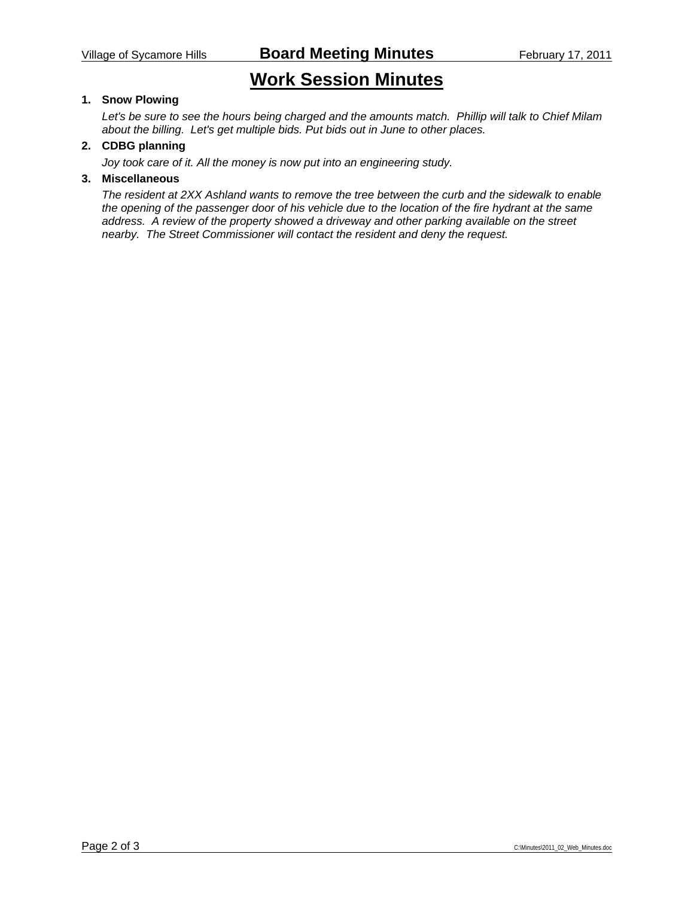# **Work Session Minutes**

### **1. Snow Plowing**

*Let's be sure to see the hours being charged and the amounts match. Phillip will talk to Chief Milam about the billing. Let's get multiple bids. Put bids out in June to other places.* 

### **2. CDBG planning**

*Joy took care of it. All the money is now put into an engineering study.* 

### **3. Miscellaneous**

*The resident at 2XX Ashland wants to remove the tree between the curb and the sidewalk to enable the opening of the passenger door of his vehicle due to the location of the fire hydrant at the same address. A review of the property showed a driveway and other parking available on the street nearby. The Street Commissioner will contact the resident and deny the request.*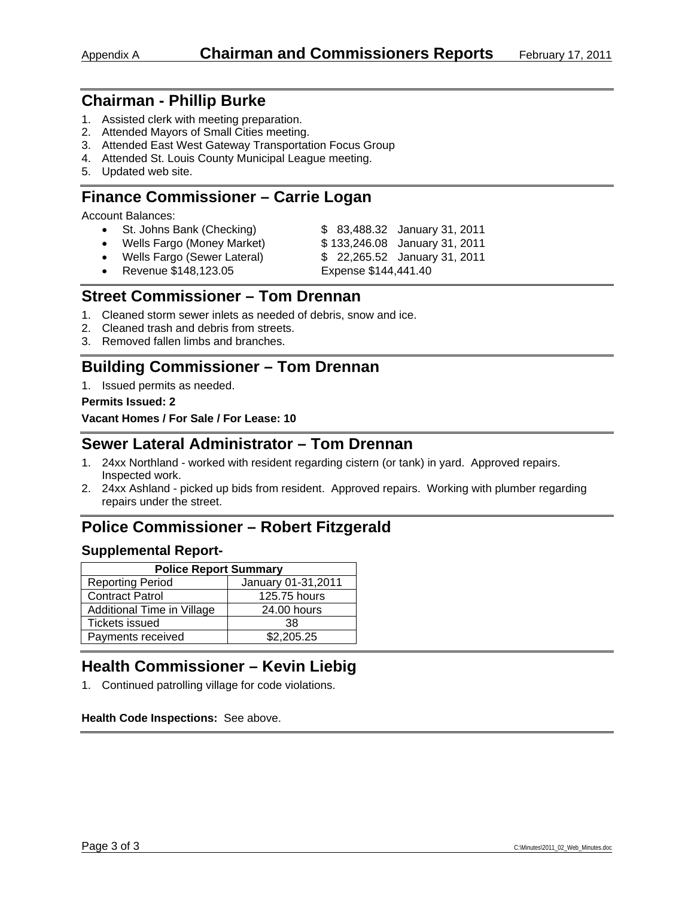- 1. Assisted clerk with meeting preparation.
- 2. Attended Mayors of Small Cities meeting.
- 3. Attended East West Gateway Transportation Focus Group
- 4. Attended St. Louis County Municipal League meeting.
- 5. Updated web site.

# **Finance Commissioner – Carrie Logan**

Account Balances:

- St. Johns Bank (Checking) \$ 83,488.32 January 31, 2011
- Wells Fargo (Money Market) \$ 133,246.08 January 31, 2011
	-
- Wells Fargo (Sewer Lateral) \$ 22,265.52 January 31, 2011
- -
- - Revenue \$148,123.05 Expense \$144,441.40

### **Street Commissioner – Tom Drennan**

- 1. Cleaned storm sewer inlets as needed of debris, snow and ice.
- 2. Cleaned trash and debris from streets.
- 3. Removed fallen limbs and branches.

# **Building Commissioner – Tom Drennan**

1. Issued permits as needed.

#### **Permits Issued: 2**

**Vacant Homes / For Sale / For Lease: 10** 

### **Sewer Lateral Administrator – Tom Drennan**

- 1. 24xx Northland worked with resident regarding cistern (or tank) in yard. Approved repairs. Inspected work.
- 2. 24xx Ashland picked up bids from resident. Approved repairs. Working with plumber regarding repairs under the street.

# **Police Commissioner – Robert Fitzgerald**

### **Supplemental Report-**

| <b>Police Report Summary</b>                   |              |  |  |  |  |
|------------------------------------------------|--------------|--|--|--|--|
| <b>Reporting Period</b><br>January 01-31, 2011 |              |  |  |  |  |
| <b>Contract Patrol</b>                         | 125.75 hours |  |  |  |  |
| Additional Time in Village                     | 24.00 hours  |  |  |  |  |
| <b>Tickets issued</b>                          | 38           |  |  |  |  |
| Payments received                              | \$2,205.25   |  |  |  |  |

# **Health Commissioner – Kevin Liebig**

1. Continued patrolling village for code violations.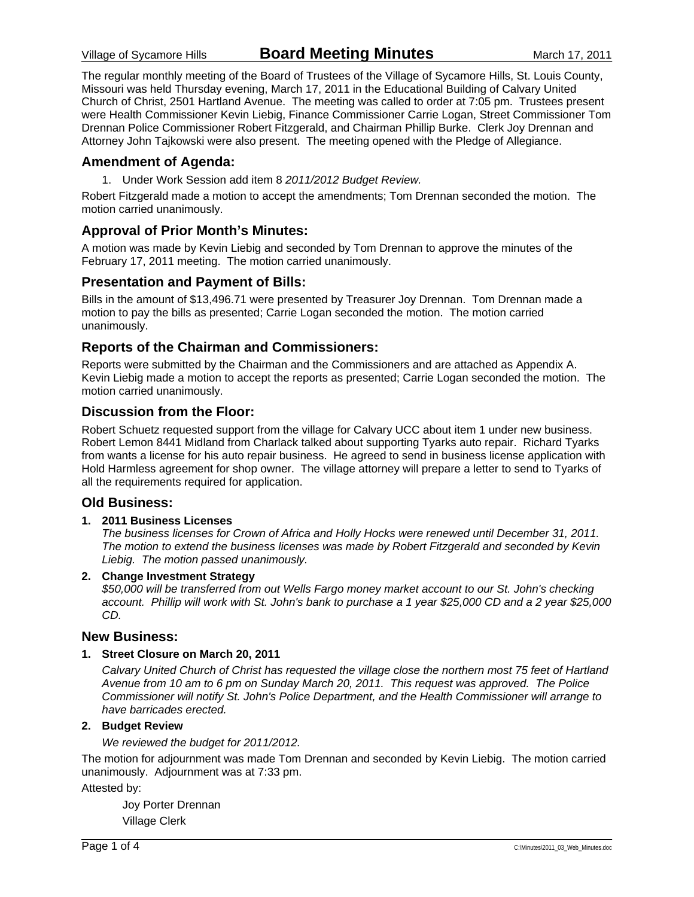The regular monthly meeting of the Board of Trustees of the Village of Sycamore Hills, St. Louis County, Missouri was held Thursday evening, March 17, 2011 in the Educational Building of Calvary United Church of Christ, 2501 Hartland Avenue. The meeting was called to order at 7:05 pm. Trustees present were Health Commissioner Kevin Liebig, Finance Commissioner Carrie Logan, Street Commissioner Tom Drennan Police Commissioner Robert Fitzgerald, and Chairman Phillip Burke. Clerk Joy Drennan and Attorney John Tajkowski were also present. The meeting opened with the Pledge of Allegiance.

### **Amendment of Agenda:**

1. Under Work Session add item 8 *2011/2012 Budget Review.*

Robert Fitzgerald made a motion to accept the amendments; Tom Drennan seconded the motion. The motion carried unanimously.

### **Approval of Prior Month's Minutes:**

A motion was made by Kevin Liebig and seconded by Tom Drennan to approve the minutes of the February 17, 2011 meeting. The motion carried unanimously.

### **Presentation and Payment of Bills:**

Bills in the amount of \$13,496.71 were presented by Treasurer Joy Drennan. Tom Drennan made a motion to pay the bills as presented; Carrie Logan seconded the motion. The motion carried unanimously.

### **Reports of the Chairman and Commissioners:**

Reports were submitted by the Chairman and the Commissioners and are attached as Appendix A. Kevin Liebig made a motion to accept the reports as presented; Carrie Logan seconded the motion. The motion carried unanimously.

### **Discussion from the Floor:**

Robert Schuetz requested support from the village for Calvary UCC about item 1 under new business. Robert Lemon 8441 Midland from Charlack talked about supporting Tyarks auto repair. Richard Tyarks from wants a license for his auto repair business. He agreed to send in business license application with Hold Harmless agreement for shop owner. The village attorney will prepare a letter to send to Tyarks of all the requirements required for application.

### **Old Business:**

#### **1. 2011 Business Licenses**

*The business licenses for Crown of Africa and Holly Hocks were renewed until December 31, 2011. The motion to extend the business licenses was made by Robert Fitzgerald and seconded by Kevin Liebig. The motion passed unanimously.* 

#### **2. Change Investment Strategy**

*\$50,000 will be transferred from out Wells Fargo money market account to our St. John's checking account. Phillip will work with St. John's bank to purchase a 1 year \$25,000 CD and a 2 year \$25,000 CD.* 

### **New Business:**

#### **1. Street Closure on March 20, 2011**

*Calvary United Church of Christ has requested the village close the northern most 75 feet of Hartland Avenue from 10 am to 6 pm on Sunday March 20, 2011. This request was approved. The Police Commissioner will notify St. John's Police Department, and the Health Commissioner will arrange to have barricades erected.* 

### **2. Budget Review**

*We reviewed the budget for 2011/2012.* 

The motion for adjournment was made Tom Drennan and seconded by Kevin Liebig. The motion carried unanimously. Adjournment was at 7:33 pm.

Attested by:

 Joy Porter Drennan Village Clerk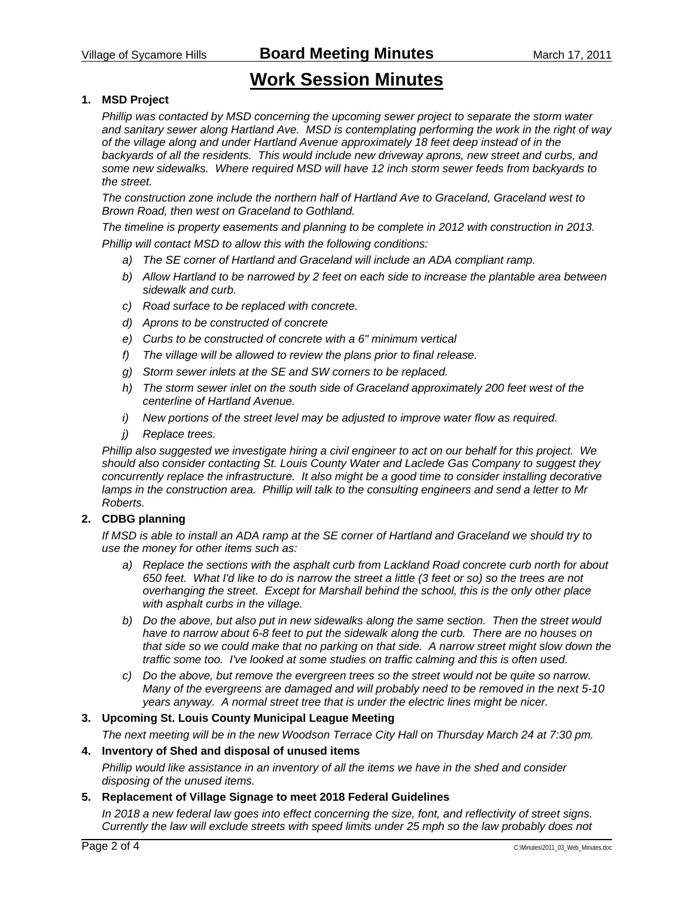Village of Sycamore Hills **Board Meeting Minutes** March 17, 2011

# **Work Session Minutes**

### **1. MSD Project**

*Phillip was contacted by MSD concerning the upcoming sewer project to separate the storm water and sanitary sewer along Hartland Ave. MSD is contemplating performing the work in the right of way of the village along and under Hartland Avenue approximately 18 feet deep instead of in the backyards of all the residents. This would include new driveway aprons, new street and curbs, and some new sidewalks. Where required MSD will have 12 inch storm sewer feeds from backyards to the street.* 

*The construction zone include the northern half of Hartland Ave to Graceland, Graceland west to Brown Road, then west on Graceland to Gothland.* 

*The timeline is property easements and planning to be complete in 2012 with construction in 2013. Phillip will contact MSD to allow this with the following conditions:* 

- *a) The SE corner of Hartland and Graceland will include an ADA compliant ramp.*
- *b) Allow Hartland to be narrowed by 2 feet on each side to increase the plantable area between sidewalk and curb.*
- *c) Road surface to be replaced with concrete.*
- *d) Aprons to be constructed of concrete*
- *e) Curbs to be constructed of concrete with a 6" minimum vertical*
- *f) The village will be allowed to review the plans prior to final release.*
- *g) Storm sewer inlets at the SE and SW corners to be replaced.*
- *h) The storm sewer inlet on the south side of Graceland approximately 200 feet west of the centerline of Hartland Avenue.*
- *i) New portions of the street level may be adjusted to improve water flow as required.*
- *j) Replace trees.*

*Phillip also suggested we investigate hiring a civil engineer to act on our behalf for this project. We should also consider contacting St. Louis County Water and Laclede Gas Company to suggest they concurrently replace the infrastructure. It also might be a good time to consider installing decorative lamps in the construction area. Phillip will talk to the consulting engineers and send a letter to Mr Roberts.* 

#### **2. CDBG planning**

*If MSD is able to install an ADA ramp at the SE corner of Hartland and Graceland we should try to use the money for other items such as:* 

- *a) Replace the sections with the asphalt curb from Lackland Road concrete curb north for about 650 feet. What I'd like to do is narrow the street a little (3 feet or so) so the trees are not overhanging the street. Except for Marshall behind the school, this is the only other place with asphalt curbs in the village.*
- *b) Do the above, but also put in new sidewalks along the same section. Then the street would have to narrow about 6-8 feet to put the sidewalk along the curb. There are no houses on that side so we could make that no parking on that side. A narrow street might slow down the traffic some too. I've looked at some studies on traffic calming and this is often used.*
- *c) Do the above, but remove the evergreen trees so the street would not be quite so narrow. Many of the evergreens are damaged and will probably need to be removed in the next 5-10 years anyway. A normal street tree that is under the electric lines might be nicer.*

### **3. Upcoming St. Louis County Municipal League Meeting**

*The next meeting will be in the new Woodson Terrace City Hall on Thursday March 24 at 7:30 pm.* 

### **4. Inventory of Shed and disposal of unused items**

*Phillip would like assistance in an inventory of all the items we have in the shed and consider disposing of the unused items.* 

#### **5. Replacement of Village Signage to meet 2018 Federal Guidelines**

*In 2018 a new federal law goes into effect concerning the size, font, and reflectivity of street signs. Currently the law will exclude streets with speed limits under 25 mph so the law probably does not*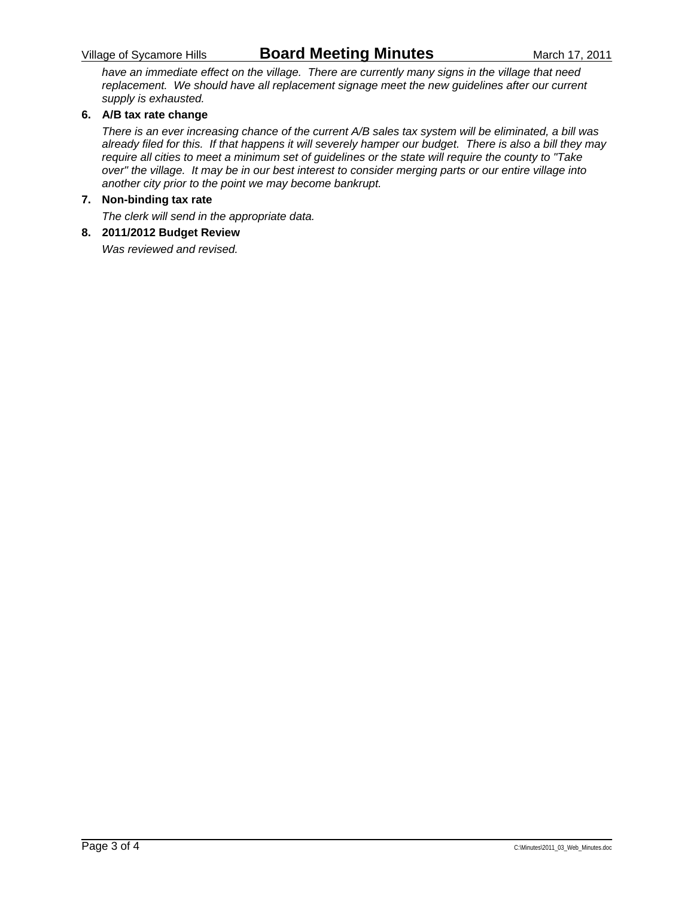### Village of Sycamore Hills **Board Meeting Minutes** March 17, 2011

*have an immediate effect on the village. There are currently many signs in the village that need replacement. We should have all replacement signage meet the new guidelines after our current supply is exhausted.* 

### **6. A/B tax rate change**

*There is an ever increasing chance of the current A/B sales tax system will be eliminated, a bill was already filed for this. If that happens it will severely hamper our budget. There is also a bill they may require all cities to meet a minimum set of guidelines or the state will require the county to "Take over" the village. It may be in our best interest to consider merging parts or our entire village into another city prior to the point we may become bankrupt.* 

#### **7. Non-binding tax rate**

*The clerk will send in the appropriate data.* 

### **8. 2011/2012 Budget Review**

*Was reviewed and revised.*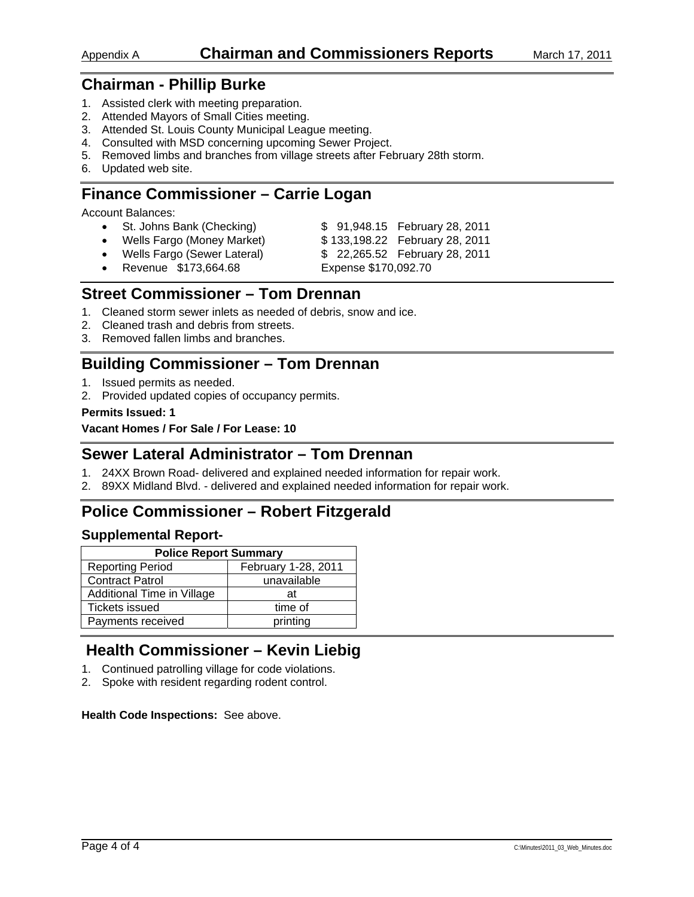- 1. Assisted clerk with meeting preparation.
- 2. Attended Mayors of Small Cities meeting.
- 3. Attended St. Louis County Municipal League meeting.
- 4. Consulted with MSD concerning upcoming Sewer Project.
- 5. Removed limbs and branches from village streets after February 28th storm.
- 6. Updated web site.

# **Finance Commissioner – Carrie Logan**

Account Balances:

- St. Johns Bank (Checking) \$ 91,948.15 February 28, 2011
- Wells Fargo (Money Market) \$ 133,198.22 February 28, 2011
	-
- - Wells Fargo (Sewer Lateral) \$ 22,265.52 February 28, 2011
- Revenue \$173,664.68 Expense \$170,092.70
- 

# **Street Commissioner – Tom Drennan**

- 1. Cleaned storm sewer inlets as needed of debris, snow and ice.
- 2. Cleaned trash and debris from streets.
- 3. Removed fallen limbs and branches.

# **Building Commissioner – Tom Drennan**

- 1. Issued permits as needed.
- 2. Provided updated copies of occupancy permits.

### **Permits Issued: 1**

**Vacant Homes / For Sale / For Lease: 10** 

### **Sewer Lateral Administrator – Tom Drennan**

- 1. 24XX Brown Road- delivered and explained needed information for repair work.
- 2. 89XX Midland Blvd. delivered and explained needed information for repair work.

# **Police Commissioner – Robert Fitzgerald**

### **Supplemental Report-**

| <b>Police Report Summary</b>                   |             |  |  |  |  |
|------------------------------------------------|-------------|--|--|--|--|
| February 1-28, 2011<br><b>Reporting Period</b> |             |  |  |  |  |
| <b>Contract Patrol</b>                         | unavailable |  |  |  |  |
| Additional Time in Village                     | аt          |  |  |  |  |
| Tickets issued                                 | time of     |  |  |  |  |
| Payments received                              | printing    |  |  |  |  |

# **Health Commissioner – Kevin Liebig**

- 1. Continued patrolling village for code violations.
- 2. Spoke with resident regarding rodent control.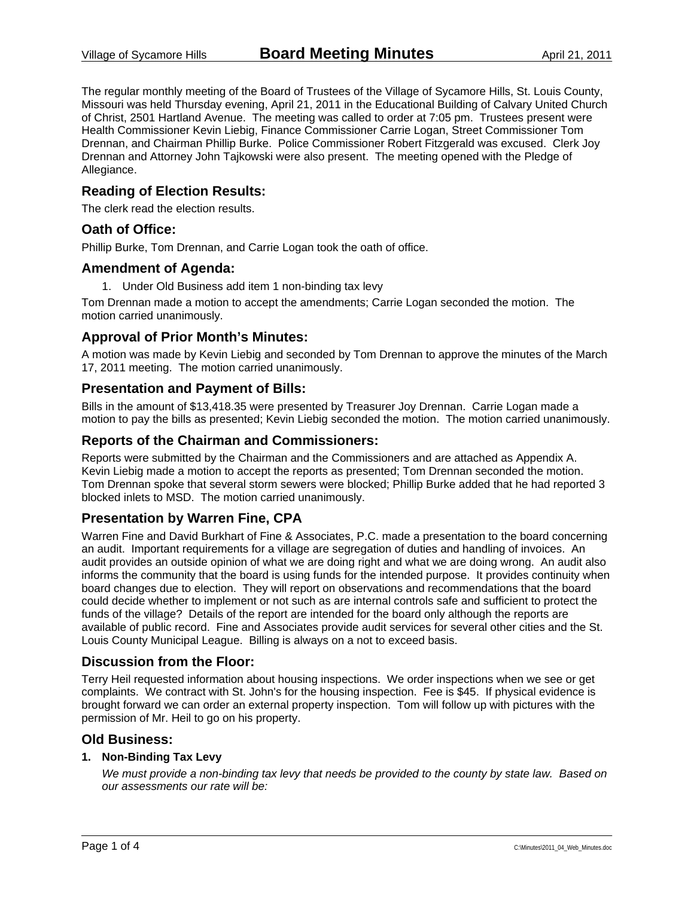The regular monthly meeting of the Board of Trustees of the Village of Sycamore Hills, St. Louis County, Missouri was held Thursday evening, April 21, 2011 in the Educational Building of Calvary United Church of Christ, 2501 Hartland Avenue. The meeting was called to order at 7:05 pm. Trustees present were Health Commissioner Kevin Liebig, Finance Commissioner Carrie Logan, Street Commissioner Tom Drennan, and Chairman Phillip Burke. Police Commissioner Robert Fitzgerald was excused. Clerk Joy Drennan and Attorney John Tajkowski were also present. The meeting opened with the Pledge of Allegiance.

### **Reading of Election Results:**

The clerk read the election results.

### **Oath of Office:**

Phillip Burke, Tom Drennan, and Carrie Logan took the oath of office.

### **Amendment of Agenda:**

1. Under Old Business add item 1 non-binding tax levy

Tom Drennan made a motion to accept the amendments; Carrie Logan seconded the motion. The motion carried unanimously.

### **Approval of Prior Month's Minutes:**

A motion was made by Kevin Liebig and seconded by Tom Drennan to approve the minutes of the March 17, 2011 meeting. The motion carried unanimously.

### **Presentation and Payment of Bills:**

Bills in the amount of \$13,418.35 were presented by Treasurer Joy Drennan. Carrie Logan made a motion to pay the bills as presented; Kevin Liebig seconded the motion. The motion carried unanimously.

### **Reports of the Chairman and Commissioners:**

Reports were submitted by the Chairman and the Commissioners and are attached as Appendix A. Kevin Liebig made a motion to accept the reports as presented; Tom Drennan seconded the motion. Tom Drennan spoke that several storm sewers were blocked; Phillip Burke added that he had reported 3 blocked inlets to MSD. The motion carried unanimously.

### **Presentation by Warren Fine, CPA**

Warren Fine and David Burkhart of Fine & Associates, P.C. made a presentation to the board concerning an audit. Important requirements for a village are segregation of duties and handling of invoices. An audit provides an outside opinion of what we are doing right and what we are doing wrong. An audit also informs the community that the board is using funds for the intended purpose. It provides continuity when board changes due to election. They will report on observations and recommendations that the board could decide whether to implement or not such as are internal controls safe and sufficient to protect the funds of the village? Details of the report are intended for the board only although the reports are available of public record. Fine and Associates provide audit services for several other cities and the St. Louis County Municipal League. Billing is always on a not to exceed basis.

### **Discussion from the Floor:**

Terry Heil requested information about housing inspections. We order inspections when we see or get complaints. We contract with St. John's for the housing inspection. Fee is \$45. If physical evidence is brought forward we can order an external property inspection. Tom will follow up with pictures with the permission of Mr. Heil to go on his property.

### **Old Business:**

### **1. Non-Binding Tax Levy**

*We must provide a non-binding tax levy that needs be provided to the county by state law. Based on our assessments our rate will be:*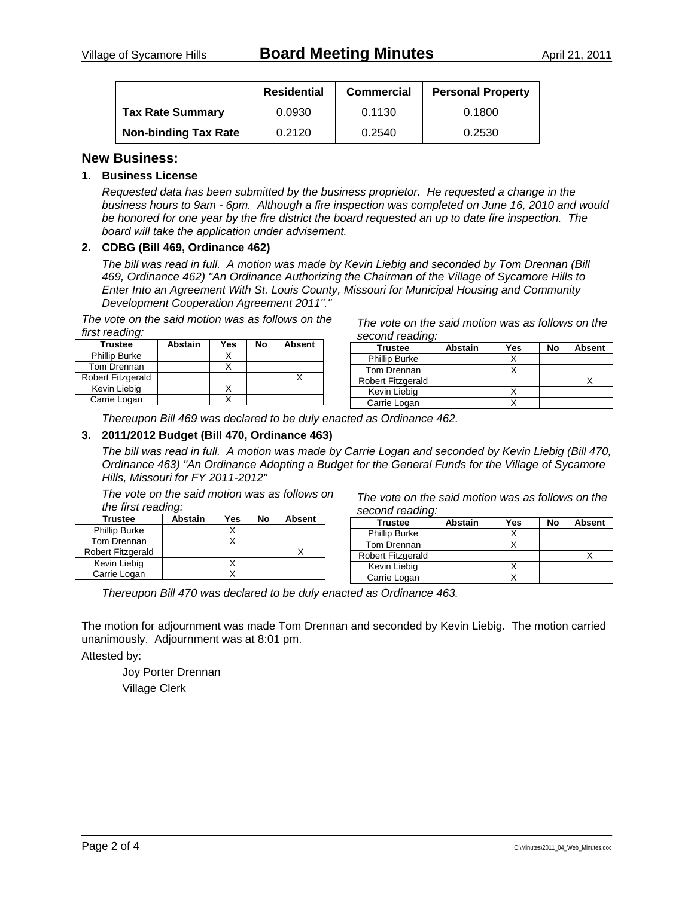|                             | <b>Residential</b> | <b>Commercial</b> | <b>Personal Property</b> |
|-----------------------------|--------------------|-------------------|--------------------------|
| <b>Tax Rate Summary</b>     | 0.0930             | 0.1130            | 0.1800                   |
| <b>Non-binding Tax Rate</b> | 0.2120             | 0.2540            | 0.2530                   |

### **New Business:**

### **1. Business License**

*Requested data has been submitted by the business proprietor. He requested a change in the business hours to 9am - 6pm. Although a fire inspection was completed on June 16, 2010 and would be honored for one year by the fire district the board requested an up to date fire inspection. The board will take the application under advisement.* 

#### **2. CDBG (Bill 469, Ordinance 462)**

*The bill was read in full. A motion was made by Kevin Liebig and seconded by Tom Drennan (Bill 469, Ordinance 462) "An Ordinance Authorizing the Chairman of the Village of Sycamore Hills to Enter Into an Agreement With St. Louis County, Missouri for Municipal Housing and Community Development Cooperation Agreement 2011"."* 

*The vote on the said motion was as follows on the first reading:* 

| Trustee              | <b>Abstain</b> | Yes | No | <b>Absent</b> |
|----------------------|----------------|-----|----|---------------|
| <b>Phillip Burke</b> |                |     |    |               |
| Tom Drennan          |                |     |    |               |
| Robert Fitzgerald    |                |     |    |               |
| Kevin Liebig         |                |     |    |               |
| Carrie Logan         |                |     |    |               |

*The vote on the said motion was as follows on the second reading:* 

| Trustee                  | <b>Abstain</b> | Yes | No | <b>Absent</b> |
|--------------------------|----------------|-----|----|---------------|
| <b>Phillip Burke</b>     |                |     |    |               |
| Tom Drennan              |                |     |    |               |
| <b>Robert Fitzgerald</b> |                |     |    |               |
| Kevin Liebig             |                |     |    |               |
| Carrie Logan             |                |     |    |               |
|                          |                |     |    |               |

*Thereupon Bill 469 was declared to be duly enacted as Ordinance 462.* 

#### **3. 2011/2012 Budget (Bill 470, Ordinance 463)**

*The bill was read in full. A motion was made by Carrie Logan and seconded by Kevin Liebig (Bill 470, Ordinance 463) "An Ordinance Adopting a Budget for the General Funds for the Village of Sycamore Hills, Missouri for FY 2011-2012"* 

*The vote on the said motion was as follows on the first reading:* 

| Trustee                  | <b>Abstain</b> | Yes | No | <b>Absent</b> |
|--------------------------|----------------|-----|----|---------------|
| <b>Phillip Burke</b>     |                |     |    |               |
| Tom Drennan              |                |     |    |               |
| <b>Robert Fitzgerald</b> |                |     |    |               |
| Kevin Liebig             |                |     |    |               |
| Carrie Logan             |                |     |    |               |

*The vote on the said motion was as follows on the second reading:* 

| <b>Trustee</b>           | <b>Abstain</b> | Yes | No | <b>Absent</b> |
|--------------------------|----------------|-----|----|---------------|
| <b>Phillip Burke</b>     |                |     |    |               |
| Tom Drennan              |                |     |    |               |
| <b>Robert Fitzgerald</b> |                |     |    |               |
| Kevin Liebig             |                |     |    |               |
| Carrie Logan             |                |     |    |               |

*Thereupon Bill 470 was declared to be duly enacted as Ordinance 463.* 

The motion for adjournment was made Tom Drennan and seconded by Kevin Liebig. The motion carried unanimously. Adjournment was at 8:01 pm.

Attested by:

 Joy Porter Drennan Village Clerk

| Page 2 of 4 | C:\Minutes\2011_04_Web_Minutes.doc |  |
|-------------|------------------------------------|--|
|             |                                    |  |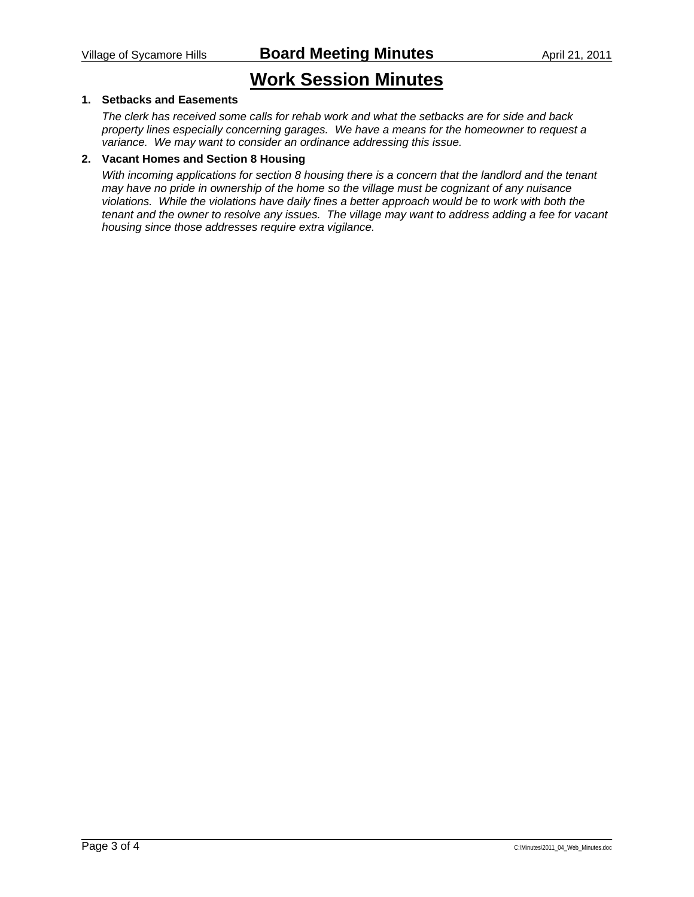# **Work Session Minutes**

### **1. Setbacks and Easements**

*The clerk has received some calls for rehab work and what the setbacks are for side and back property lines especially concerning garages. We have a means for the homeowner to request a variance. We may want to consider an ordinance addressing this issue.* 

#### **2. Vacant Homes and Section 8 Housing**

*With incoming applications for section 8 housing there is a concern that the landlord and the tenant may have no pride in ownership of the home so the village must be cognizant of any nuisance violations. While the violations have daily fines a better approach would be to work with both the tenant and the owner to resolve any issues. The village may want to address adding a fee for vacant housing since those addresses require extra vigilance.*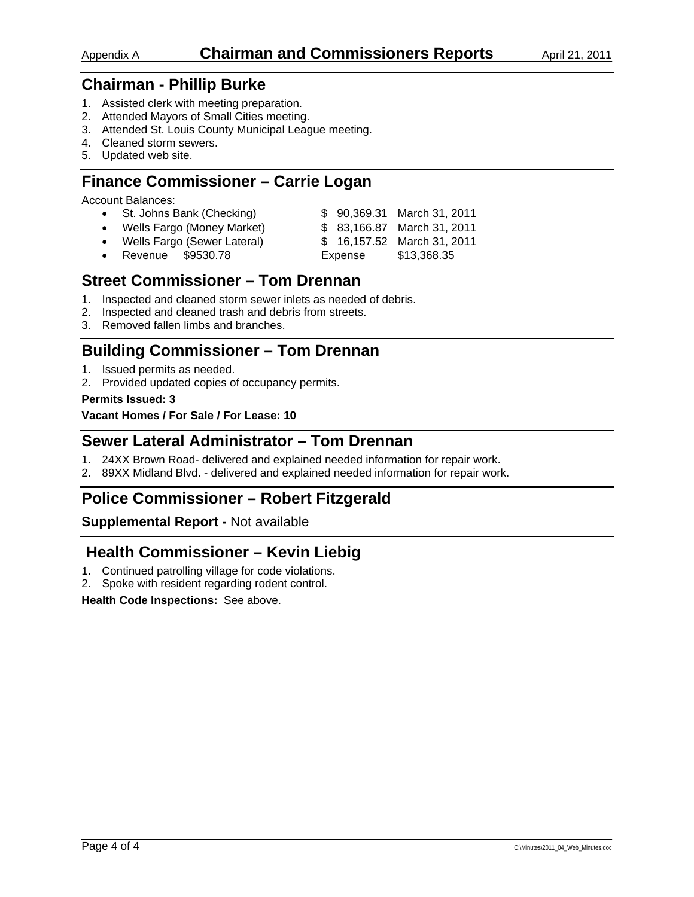- 1. Assisted clerk with meeting preparation.
- 2. Attended Mayors of Small Cities meeting.
- 3. Attended St. Louis County Municipal League meeting.
- 4. Cleaned storm sewers.
- 5. Updated web site.

# **Finance Commissioner – Carrie Logan**

Account Balances:

| • St. Johns Bank (Checking)   |  | \$ 90,369.31 March 31, 2011 |
|-------------------------------|--|-----------------------------|
| • Wells Fargo (Money Market)  |  | \$ 83,166.87 March 31, 2011 |
| • Wells Fargo (Sewer Lateral) |  | \$ 16,157.52 March 31, 2011 |
| • Revenue \$9530.78           |  | Expense \$13,368.35         |

### **Street Commissioner – Tom Drennan**

- 1. Inspected and cleaned storm sewer inlets as needed of debris.
- 2. Inspected and cleaned trash and debris from streets.
- 3. Removed fallen limbs and branches.

# **Building Commissioner – Tom Drennan**

- 1. Issued permits as needed.
- 2. Provided updated copies of occupancy permits.

### **Permits Issued: 3**

**Vacant Homes / For Sale / For Lease: 10** 

### **Sewer Lateral Administrator – Tom Drennan**

- 1. 24XX Brown Road- delivered and explained needed information for repair work.
- 2. 89XX Midland Blvd. delivered and explained needed information for repair work.

# **Police Commissioner – Robert Fitzgerald**

### **Supplemental Report -** Not available

# **Health Commissioner – Kevin Liebig**

- 1. Continued patrolling village for code violations.
- 2. Spoke with resident regarding rodent control.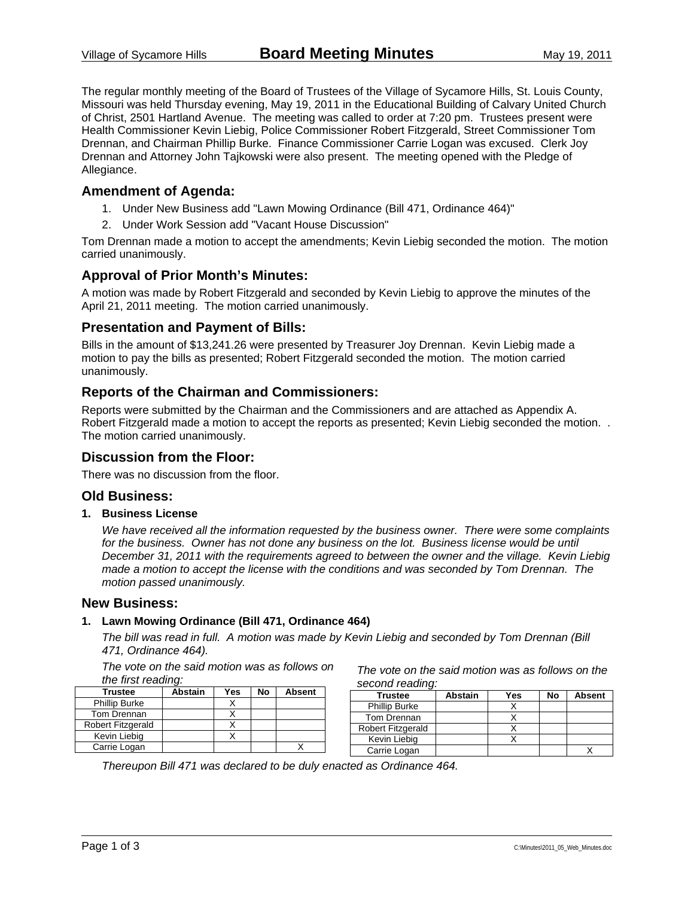The regular monthly meeting of the Board of Trustees of the Village of Sycamore Hills, St. Louis County, Missouri was held Thursday evening, May 19, 2011 in the Educational Building of Calvary United Church of Christ, 2501 Hartland Avenue. The meeting was called to order at 7:20 pm. Trustees present were Health Commissioner Kevin Liebig, Police Commissioner Robert Fitzgerald, Street Commissioner Tom Drennan, and Chairman Phillip Burke. Finance Commissioner Carrie Logan was excused. Clerk Joy Drennan and Attorney John Tajkowski were also present. The meeting opened with the Pledge of Allegiance.

### **Amendment of Agenda:**

- 1. Under New Business add "Lawn Mowing Ordinance (Bill 471, Ordinance 464)"
- 2. Under Work Session add "Vacant House Discussion"

Tom Drennan made a motion to accept the amendments; Kevin Liebig seconded the motion. The motion carried unanimously.

### **Approval of Prior Month's Minutes:**

A motion was made by Robert Fitzgerald and seconded by Kevin Liebig to approve the minutes of the April 21, 2011 meeting. The motion carried unanimously.

### **Presentation and Payment of Bills:**

Bills in the amount of \$13,241.26 were presented by Treasurer Joy Drennan. Kevin Liebig made a motion to pay the bills as presented; Robert Fitzgerald seconded the motion. The motion carried unanimously.

### **Reports of the Chairman and Commissioners:**

Reports were submitted by the Chairman and the Commissioners and are attached as Appendix A. Robert Fitzgerald made a motion to accept the reports as presented; Kevin Liebig seconded the motion. . The motion carried unanimously.

### **Discussion from the Floor:**

There was no discussion from the floor.

### **Old Business:**

**1. Business License** 

*We have received all the information requested by the business owner. There were some complaints*  for the business. Owner has not done any business on the lot. Business license would be until *December 31, 2011 with the requirements agreed to between the owner and the village. Kevin Liebig made a motion to accept the license with the conditions and was seconded by Tom Drennan. The motion passed unanimously.* 

### **New Business:**

#### **1. Lawn Mowing Ordinance (Bill 471, Ordinance 464)**

*The bill was read in full. A motion was made by Kevin Liebig and seconded by Tom Drennan (Bill 471, Ordinance 464).*

*The vote on the said motion was as follows on the first reading:* 

| <b>Trustee</b>       | <b>Abstain</b> | Yes | No | <b>Absent</b> |
|----------------------|----------------|-----|----|---------------|
| <b>Phillip Burke</b> |                |     |    |               |
| Tom Drennan          |                |     |    |               |
| Robert Fitzgerald    |                |     |    |               |
| Kevin Liebig         |                |     |    |               |
| Carrie Logan         |                |     |    |               |

*The vote on the said motion was as follows on the second reading:* 

| <b>Trustee</b>           | <b>Abstain</b> | Yes | No | <b>Absent</b> |  |  |
|--------------------------|----------------|-----|----|---------------|--|--|
| <b>Phillip Burke</b>     |                |     |    |               |  |  |
| Tom Drennan              |                |     |    |               |  |  |
| <b>Robert Fitzgerald</b> |                |     |    |               |  |  |
| Kevin Liebig             |                |     |    |               |  |  |
| Carrie Logan             |                |     |    |               |  |  |

*Thereupon Bill 471 was declared to be duly enacted as Ordinance 464.*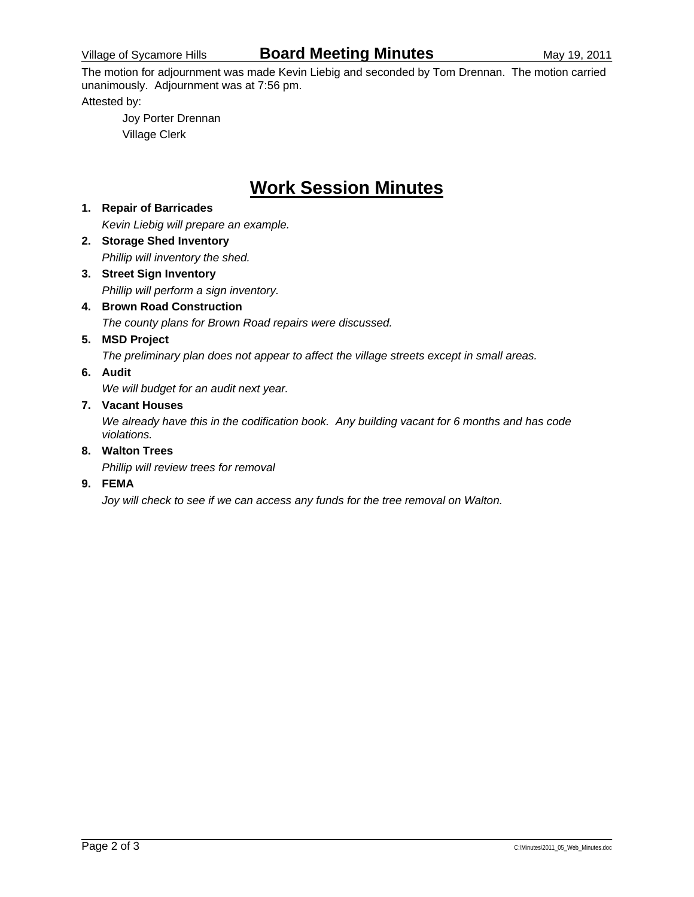The motion for adjournment was made Kevin Liebig and seconded by Tom Drennan. The motion carried unanimously. Adjournment was at 7:56 pm.

Attested by:

 Joy Porter Drennan Village Clerk

# **Work Session Minutes**

### **1. Repair of Barricades**  *Kevin Liebig will prepare an example.*  **2. Storage Shed Inventory**

- *Phillip will inventory the shed.*
- **3. Street Sign Inventory**  *Phillip will perform a sign inventory.*
- **4. Brown Road Construction**  *The county plans for Brown Road repairs were discussed.*
- **5. MSD Project**

*The preliminary plan does not appear to affect the village streets except in small areas.* 

### **6. Audit**

*We will budget for an audit next year.* 

### **7. Vacant Houses**

*We already have this in the codification book. Any building vacant for 6 months and has code violations.* 

### **8. Walton Trees**

*Phillip will review trees for removal* 

### **9. FEMA**

*Joy will check to see if we can access any funds for the tree removal on Walton.*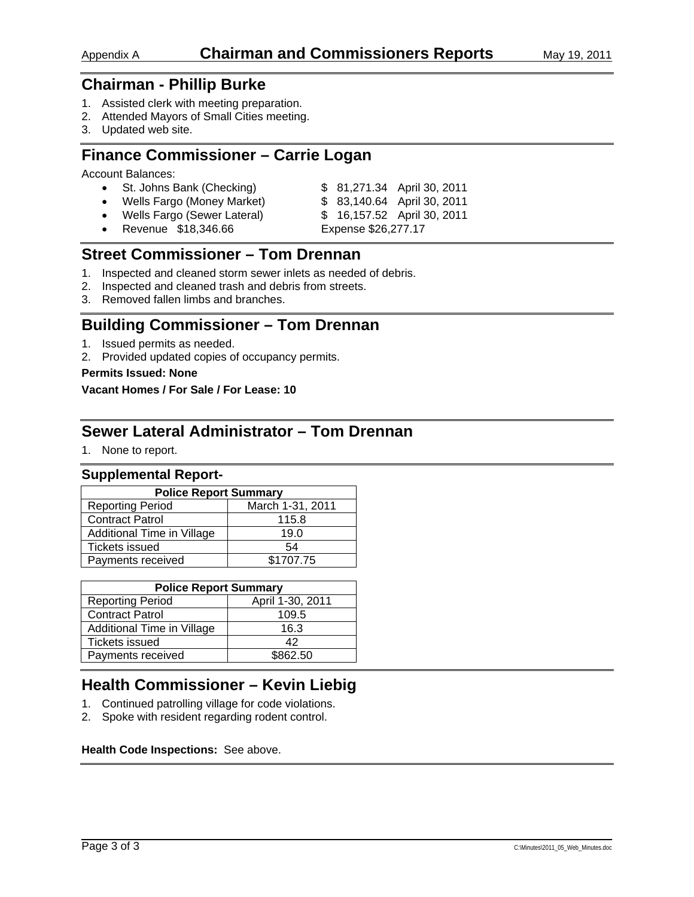- 1. Assisted clerk with meeting preparation.
- 2. Attended Mayors of Small Cities meeting.
- 3. Updated web site.

# **Finance Commissioner – Carrie Logan**

Account Balances:

| • St. Johns Bank (Checking)   |                     | \$ 81,271.34 April 30, 2011 |
|-------------------------------|---------------------|-----------------------------|
| • Wells Fargo (Money Market)  |                     | \$ 83,140.64 April 30, 2011 |
| • Wells Fargo (Sewer Lateral) |                     | \$ 16,157.52 April 30, 2011 |
| • Revenue \$18,346.66         | Expense \$26,277.17 |                             |

# **Street Commissioner – Tom Drennan**

- 1. Inspected and cleaned storm sewer inlets as needed of debris.
- 2. Inspected and cleaned trash and debris from streets.
- 3. Removed fallen limbs and branches.

# **Building Commissioner – Tom Drennan**

- 1. Issued permits as needed.
- 2. Provided updated copies of occupancy permits.

### **Permits Issued: None**

### **Vacant Homes / For Sale / For Lease: 10**

### **Sewer Lateral Administrator – Tom Drennan**

1. None to report.

### **Supplemental Report-**

| <b>Police Report Summary</b> |                  |  |  |  |  |  |
|------------------------------|------------------|--|--|--|--|--|
| <b>Reporting Period</b>      | March 1-31, 2011 |  |  |  |  |  |
| <b>Contract Patrol</b>       | 115.8            |  |  |  |  |  |
| Additional Time in Village   | 19.0             |  |  |  |  |  |
| <b>Tickets issued</b>        | 54               |  |  |  |  |  |
| Payments received            | \$1707.75        |  |  |  |  |  |

| <b>Police Report Summary</b>                |          |  |  |  |  |
|---------------------------------------------|----------|--|--|--|--|
| April 1-30, 2011<br><b>Reporting Period</b> |          |  |  |  |  |
| <b>Contract Patrol</b>                      | 109.5    |  |  |  |  |
| Additional Time in Village                  | 16.3     |  |  |  |  |
| <b>Tickets issued</b>                       | 42       |  |  |  |  |
| Payments received                           | \$862.50 |  |  |  |  |

# **Health Commissioner – Kevin Liebig**

- 1. Continued patrolling village for code violations.
- 2. Spoke with resident regarding rodent control.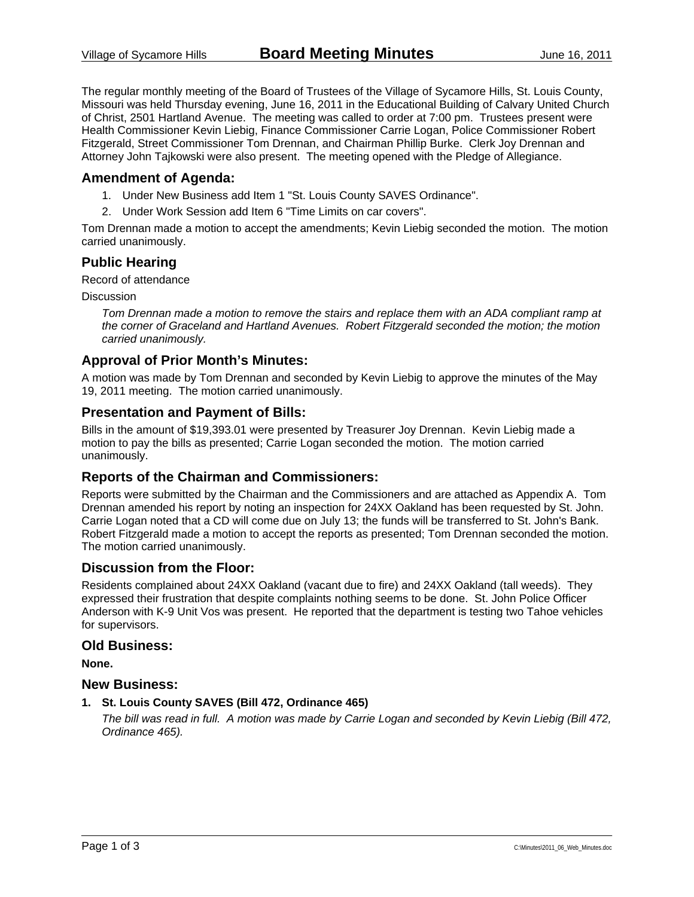The regular monthly meeting of the Board of Trustees of the Village of Sycamore Hills, St. Louis County, Missouri was held Thursday evening, June 16, 2011 in the Educational Building of Calvary United Church of Christ, 2501 Hartland Avenue. The meeting was called to order at 7:00 pm. Trustees present were Health Commissioner Kevin Liebig, Finance Commissioner Carrie Logan, Police Commissioner Robert Fitzgerald, Street Commissioner Tom Drennan, and Chairman Phillip Burke. Clerk Joy Drennan and Attorney John Tajkowski were also present. The meeting opened with the Pledge of Allegiance.

### **Amendment of Agenda:**

- 1. Under New Business add Item 1 "St. Louis County SAVES Ordinance".
- 2. Under Work Session add Item 6 "Time Limits on car covers".

Tom Drennan made a motion to accept the amendments; Kevin Liebig seconded the motion. The motion carried unanimously.

### **Public Hearing**

Record of attendance

Discussion

*Tom Drennan made a motion to remove the stairs and replace them with an ADA compliant ramp at the corner of Graceland and Hartland Avenues. Robert Fitzgerald seconded the motion; the motion carried unanimously.* 

### **Approval of Prior Month's Minutes:**

A motion was made by Tom Drennan and seconded by Kevin Liebig to approve the minutes of the May 19, 2011 meeting. The motion carried unanimously.

### **Presentation and Payment of Bills:**

Bills in the amount of \$19,393.01 were presented by Treasurer Joy Drennan. Kevin Liebig made a motion to pay the bills as presented; Carrie Logan seconded the motion. The motion carried unanimously.

### **Reports of the Chairman and Commissioners:**

Reports were submitted by the Chairman and the Commissioners and are attached as Appendix A. Tom Drennan amended his report by noting an inspection for 24XX Oakland has been requested by St. John. Carrie Logan noted that a CD will come due on July 13; the funds will be transferred to St. John's Bank. Robert Fitzgerald made a motion to accept the reports as presented; Tom Drennan seconded the motion. The motion carried unanimously.

### **Discussion from the Floor:**

Residents complained about 24XX Oakland (vacant due to fire) and 24XX Oakland (tall weeds). They expressed their frustration that despite complaints nothing seems to be done. St. John Police Officer Anderson with K-9 Unit Vos was present. He reported that the department is testing two Tahoe vehicles for supervisors.

#### **Old Business:**

**None.** 

#### **New Business:**

**1. St. Louis County SAVES (Bill 472, Ordinance 465)** 

*The bill was read in full. A motion was made by Carrie Logan and seconded by Kevin Liebig (Bill 472, Ordinance 465).*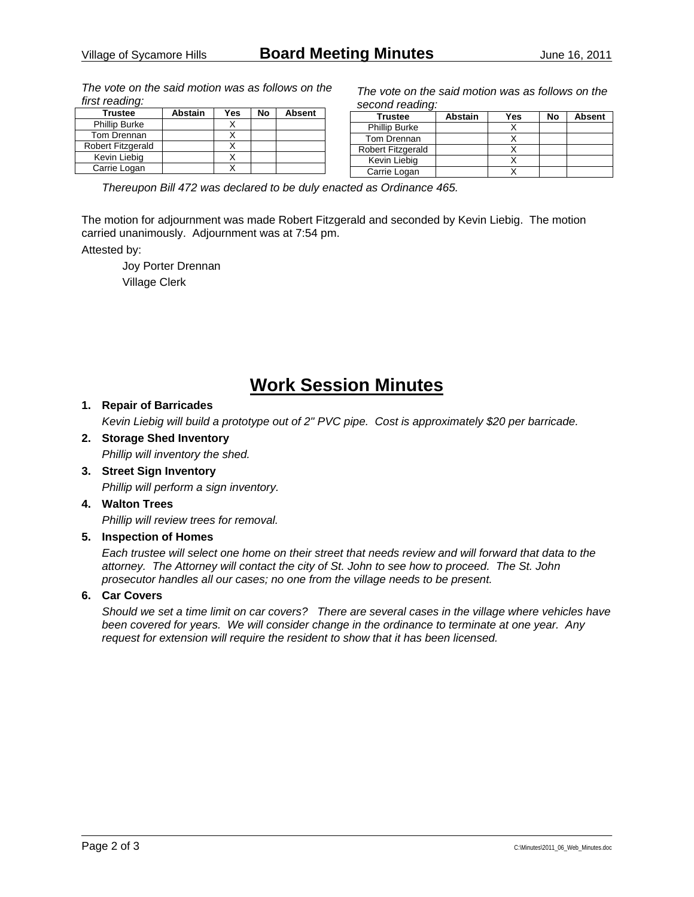*The vote on the said motion was as follows on the first reading:* 

| <b>Trustee</b>           | <b>Abstain</b> | Yes | No | <b>Absent</b> |
|--------------------------|----------------|-----|----|---------------|
| <b>Phillip Burke</b>     |                |     |    |               |
| Tom Drennan              |                |     |    |               |
| <b>Robert Fitzgerald</b> |                |     |    |               |
| Kevin Liebia             |                |     |    |               |
| Carrie Logan             |                |     |    |               |

*The vote on the said motion was as follows on the second reading:* 

| Trustee                  | <b>Abstain</b> | Yes | No | <b>Absent</b> |
|--------------------------|----------------|-----|----|---------------|
| <b>Phillip Burke</b>     |                |     |    |               |
| Tom Drennan              |                |     |    |               |
| <b>Robert Fitzgerald</b> |                |     |    |               |
| Kevin Liebig             |                |     |    |               |
| Carrie Logan             |                |     |    |               |

*Thereupon Bill 472 was declared to be duly enacted as Ordinance 465.* 

The motion for adjournment was made Robert Fitzgerald and seconded by Kevin Liebig. The motion carried unanimously. Adjournment was at 7:54 pm.

Attested by:

 Joy Porter Drennan Village Clerk

# **Work Session Minutes**

### **1. Repair of Barricades**

*Kevin Liebig will build a prototype out of 2" PVC pipe. Cost is approximately \$20 per barricade.* 

### **2. Storage Shed Inventory**

*Phillip will inventory the shed.* 

**3. Street Sign Inventory**  *Phillip will perform a sign inventory.* 

#### **4. Walton Trees**

*Phillip will review trees for removal.* 

#### **5. Inspection of Homes**

*Each trustee will select one home on their street that needs review and will forward that data to the attorney. The Attorney will contact the city of St. John to see how to proceed. The St. John prosecutor handles all our cases; no one from the village needs to be present.* 

#### **6. Car Covers**

*Should we set a time limit on car covers? There are several cases in the village where vehicles have been covered for years. We will consider change in the ordinance to terminate at one year. Any request for extension will require the resident to show that it has been licensed.*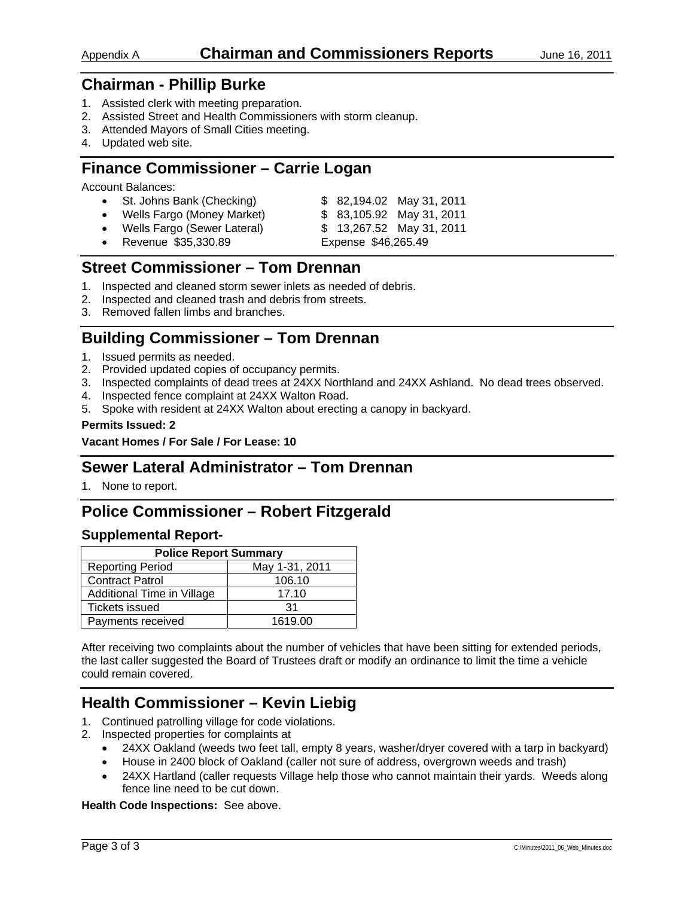- 1. Assisted clerk with meeting preparation.
- 2. Assisted Street and Health Commissioners with storm cleanup.
- 3. Attended Mayors of Small Cities meeting.
- 4. Updated web site.

# **Finance Commissioner – Carrie Logan**

Account Balances:

• St. Johns Bank (Checking) \$ 82,194.02 May 31, 2011 • Wells Fargo (Money Market) \$ 83,105.92 May 31, 2011 • Wells Fargo (Sewer Lateral) \$ 13,267.52 May 31, 2011 • Revenue \$35,330.89 Expense \$46,265.49

## **Street Commissioner – Tom Drennan**

- 1. Inspected and cleaned storm sewer inlets as needed of debris.
- 2. Inspected and cleaned trash and debris from streets.
- 3. Removed fallen limbs and branches.

# **Building Commissioner – Tom Drennan**

- 1. Issued permits as needed.
- 2. Provided updated copies of occupancy permits.
- 3. Inspected complaints of dead trees at 24XX Northland and 24XX Ashland. No dead trees observed.
- 4. Inspected fence complaint at 24XX Walton Road.
- 5. Spoke with resident at 24XX Walton about erecting a canopy in backyard.

### **Permits Issued: 2**

### **Vacant Homes / For Sale / For Lease: 10**

### **Sewer Lateral Administrator – Tom Drennan**

1. None to report.

# **Police Commissioner – Robert Fitzgerald**

### **Supplemental Report-**

| <b>Police Report Summary</b>              |         |  |  |  |
|-------------------------------------------|---------|--|--|--|
| May 1-31, 2011<br><b>Reporting Period</b> |         |  |  |  |
| <b>Contract Patrol</b>                    | 106.10  |  |  |  |
| Additional Time in Village                | 17.10   |  |  |  |
| <b>Tickets issued</b>                     | 31      |  |  |  |
| Payments received                         | 1619.00 |  |  |  |

After receiving two complaints about the number of vehicles that have been sitting for extended periods, the last caller suggested the Board of Trustees draft or modify an ordinance to limit the time a vehicle could remain covered.

# **Health Commissioner – Kevin Liebig**

- 1. Continued patrolling village for code violations.
- 2. Inspected properties for complaints at
	- 24XX Oakland (weeds two feet tall, empty 8 years, washer/dryer covered with a tarp in backyard)
	- House in 2400 block of Oakland (caller not sure of address, overgrown weeds and trash)
	- 24XX Hartland (caller requests Village help those who cannot maintain their yards. Weeds along fence line need to be cut down.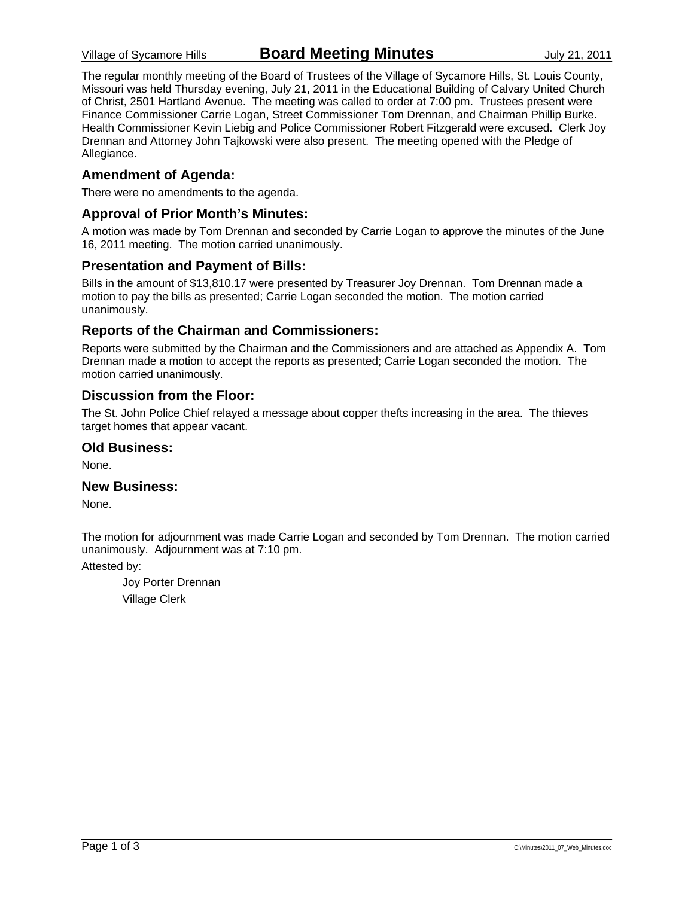The regular monthly meeting of the Board of Trustees of the Village of Sycamore Hills, St. Louis County, Missouri was held Thursday evening, July 21, 2011 in the Educational Building of Calvary United Church of Christ, 2501 Hartland Avenue. The meeting was called to order at 7:00 pm. Trustees present were Finance Commissioner Carrie Logan, Street Commissioner Tom Drennan, and Chairman Phillip Burke. Health Commissioner Kevin Liebig and Police Commissioner Robert Fitzgerald were excused. Clerk Joy Drennan and Attorney John Tajkowski were also present. The meeting opened with the Pledge of Allegiance.

### **Amendment of Agenda:**

There were no amendments to the agenda.

### **Approval of Prior Month's Minutes:**

A motion was made by Tom Drennan and seconded by Carrie Logan to approve the minutes of the June 16, 2011 meeting. The motion carried unanimously.

### **Presentation and Payment of Bills:**

Bills in the amount of \$13,810.17 were presented by Treasurer Joy Drennan. Tom Drennan made a motion to pay the bills as presented; Carrie Logan seconded the motion. The motion carried unanimously.

### **Reports of the Chairman and Commissioners:**

Reports were submitted by the Chairman and the Commissioners and are attached as Appendix A. Tom Drennan made a motion to accept the reports as presented; Carrie Logan seconded the motion. The motion carried unanimously.

### **Discussion from the Floor:**

The St. John Police Chief relayed a message about copper thefts increasing in the area. The thieves target homes that appear vacant.

### **Old Business:**

None.

### **New Business:**

None.

The motion for adjournment was made Carrie Logan and seconded by Tom Drennan. The motion carried unanimously. Adjournment was at 7:10 pm.

Attested by:

 Joy Porter Drennan Village Clerk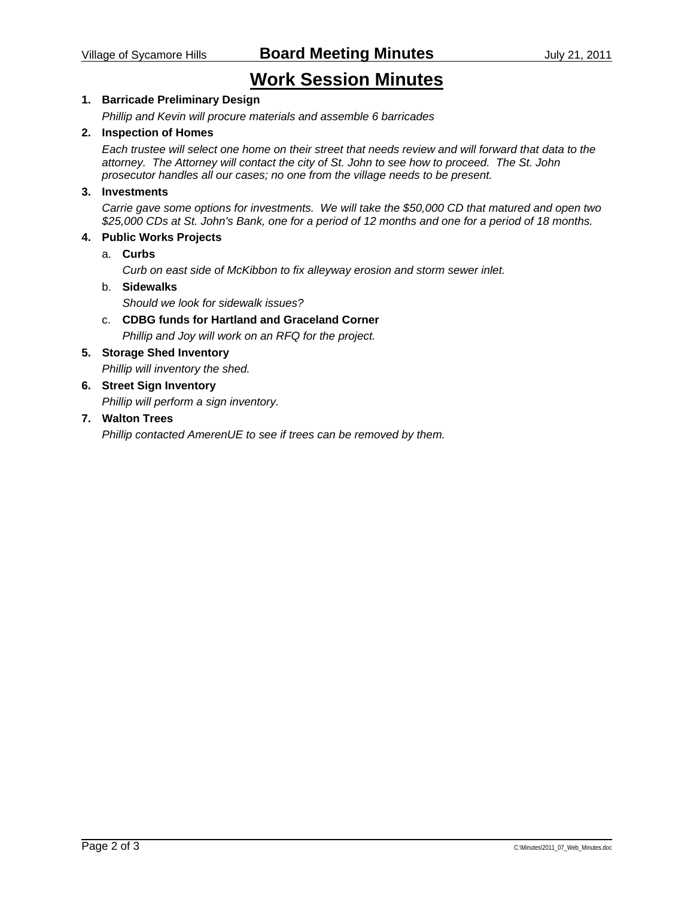# **Work Session Minutes**

### **1. Barricade Preliminary Design**

*Phillip and Kevin will procure materials and assemble 6 barricades* 

### **2. Inspection of Homes**

*Each trustee will select one home on their street that needs review and will forward that data to the attorney. The Attorney will contact the city of St. John to see how to proceed. The St. John prosecutor handles all our cases; no one from the village needs to be present.* 

### **3. Investments**

*Carrie gave some options for investments. We will take the \$50,000 CD that matured and open two \$25,000 CDs at St. John's Bank, one for a period of 12 months and one for a period of 18 months.* 

### **4. Public Works Projects**

a. **Curbs** 

 *Curb on east side of McKibbon to fix alleyway erosion and storm sewer inlet.* 

### b. **Sidewalks**

 *Should we look for sidewalk issues?* 

c. **CDBG funds for Hartland and Graceland Corner**   *Phillip and Joy will work on an RFQ for the project.* 

### **5. Storage Shed Inventory**

*Phillip will inventory the shed.* 

# **6. Street Sign Inventory**

*Phillip will perform a sign inventory.* 

### **7. Walton Trees**

*Phillip contacted AmerenUE to see if trees can be removed by them.*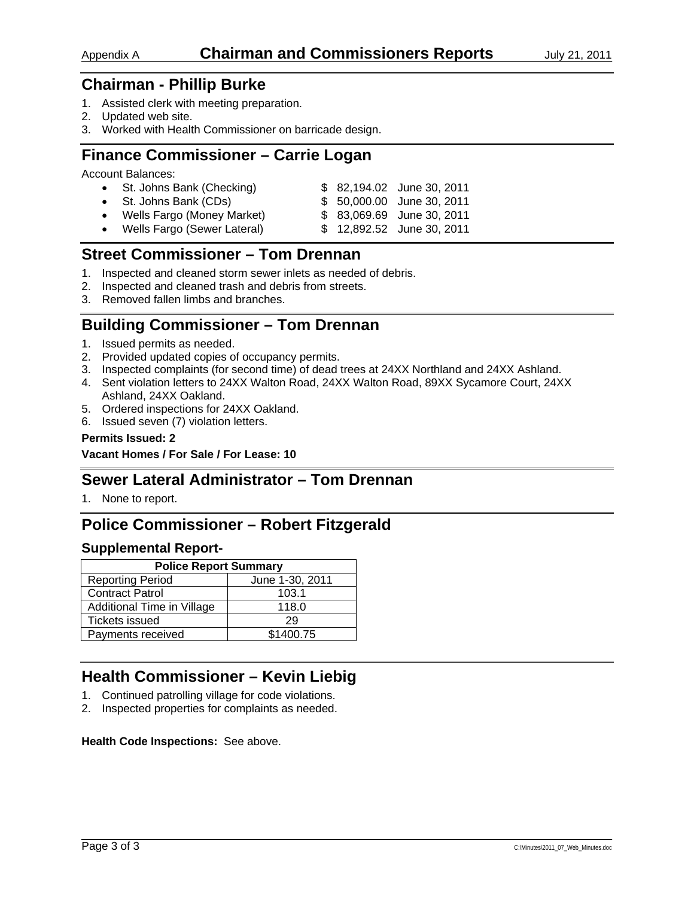- 1. Assisted clerk with meeting preparation.
- 2. Updated web site.
- 3. Worked with Health Commissioner on barricade design.

# **Finance Commissioner – Carrie Logan**

Account Balances:

| • St. Johns Bank (Checking)   |  | \$ 82,194.02 June 30, 2011 |
|-------------------------------|--|----------------------------|
| • St. Johns Bank (CDs)        |  | \$ 50,000.00 June 30, 2011 |
| • Wells Fargo (Money Market)  |  | \$ 83,069.69 June 30, 2011 |
| • Wells Fargo (Sewer Lateral) |  | \$ 12,892.52 June 30, 2011 |

### **Street Commissioner – Tom Drennan**

- 1. Inspected and cleaned storm sewer inlets as needed of debris.
- 2. Inspected and cleaned trash and debris from streets.
- 3. Removed fallen limbs and branches.

# **Building Commissioner – Tom Drennan**

- 1. Issued permits as needed.
- 2. Provided updated copies of occupancy permits.
- 3. Inspected complaints (for second time) of dead trees at 24XX Northland and 24XX Ashland.
- 4. Sent violation letters to 24XX Walton Road, 24XX Walton Road, 89XX Sycamore Court, 24XX Ashland, 24XX Oakland.
- 5. Ordered inspections for 24XX Oakland.
- 6. Issued seven (7) violation letters.

#### **Permits Issued: 2**

**Vacant Homes / For Sale / For Lease: 10** 

### **Sewer Lateral Administrator – Tom Drennan**

1. None to report.

# **Police Commissioner – Robert Fitzgerald**

### **Supplemental Report-**

| <b>Police Report Summary</b>               |           |  |  |  |
|--------------------------------------------|-----------|--|--|--|
| June 1-30, 2011<br><b>Reporting Period</b> |           |  |  |  |
| <b>Contract Patrol</b>                     | 103.1     |  |  |  |
| Additional Time in Village                 | 118.0     |  |  |  |
| <b>Tickets issued</b>                      | 29        |  |  |  |
| Payments received                          | \$1400.75 |  |  |  |

# **Health Commissioner – Kevin Liebig**

- 1. Continued patrolling village for code violations.
- 2. Inspected properties for complaints as needed.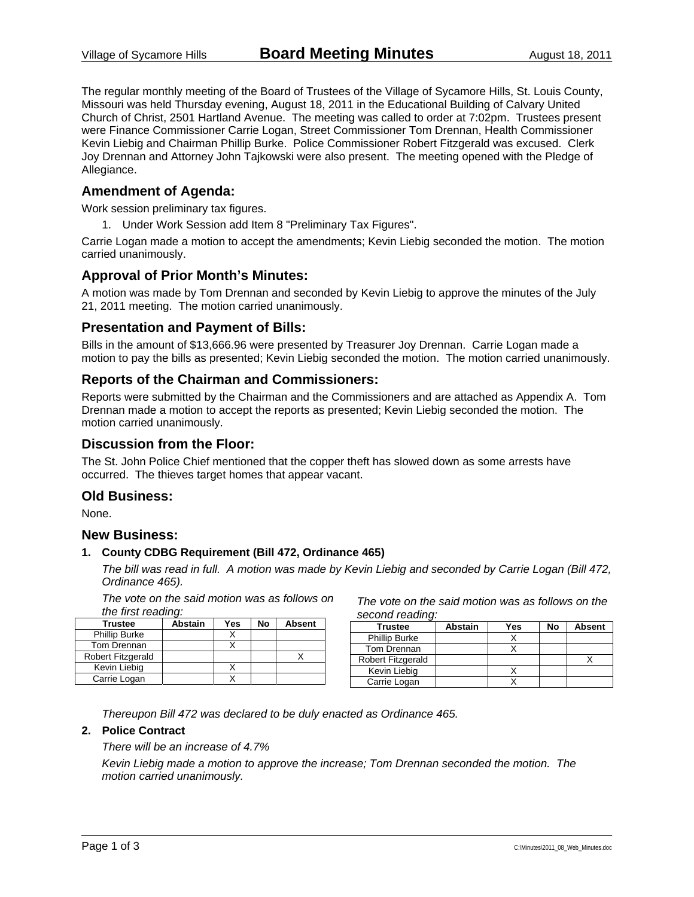The regular monthly meeting of the Board of Trustees of the Village of Sycamore Hills, St. Louis County, Missouri was held Thursday evening, August 18, 2011 in the Educational Building of Calvary United Church of Christ, 2501 Hartland Avenue. The meeting was called to order at 7:02pm. Trustees present were Finance Commissioner Carrie Logan, Street Commissioner Tom Drennan, Health Commissioner Kevin Liebig and Chairman Phillip Burke. Police Commissioner Robert Fitzgerald was excused. Clerk Joy Drennan and Attorney John Tajkowski were also present. The meeting opened with the Pledge of Allegiance.

### **Amendment of Agenda:**

Work session preliminary tax figures.

1. Under Work Session add Item 8 "Preliminary Tax Figures".

Carrie Logan made a motion to accept the amendments; Kevin Liebig seconded the motion. The motion carried unanimously.

### **Approval of Prior Month's Minutes:**

A motion was made by Tom Drennan and seconded by Kevin Liebig to approve the minutes of the July 21, 2011 meeting. The motion carried unanimously.

### **Presentation and Payment of Bills:**

Bills in the amount of \$13,666.96 were presented by Treasurer Joy Drennan. Carrie Logan made a motion to pay the bills as presented; Kevin Liebig seconded the motion. The motion carried unanimously.

### **Reports of the Chairman and Commissioners:**

Reports were submitted by the Chairman and the Commissioners and are attached as Appendix A. Tom Drennan made a motion to accept the reports as presented; Kevin Liebig seconded the motion. The motion carried unanimously.

### **Discussion from the Floor:**

The St. John Police Chief mentioned that the copper theft has slowed down as some arrests have occurred. The thieves target homes that appear vacant.

### **Old Business:**

None.

### **New Business:**

#### **1. County CDBG Requirement (Bill 472, Ordinance 465)**

*The bill was read in full. A motion was made by Kevin Liebig and seconded by Carrie Logan (Bill 472, Ordinance 465).*

*The vote on the said motion was as follows on the first reading:* 

| <b>Trustee</b>       | <b>Abstain</b> | Yes | No | <b>Absent</b> |
|----------------------|----------------|-----|----|---------------|
| <b>Phillip Burke</b> |                |     |    |               |
| Tom Drennan          |                |     |    |               |
| Robert Fitzgerald    |                |     |    |               |
| Kevin Liebig         |                |     |    |               |
| Carrie Logan         |                |     |    |               |

*The vote on the said motion was as follows on the second reading:* 

| <b>Trustee</b>       | <b>Abstain</b> | Yes | No | <b>Absent</b> |
|----------------------|----------------|-----|----|---------------|
| <b>Phillip Burke</b> |                |     |    |               |
| Tom Drennan          |                |     |    |               |
| Robert Fitzgerald    |                |     |    |               |
| Kevin Liebig         |                |     |    |               |
| Carrie Logan         |                |     |    |               |

*Thereupon Bill 472 was declared to be duly enacted as Ordinance 465.* 

### **2. Police Contract**

### *There will be an increase of 4.7%*

*Kevin Liebig made a motion to approve the increase; Tom Drennan seconded the motion. The motion carried unanimously.*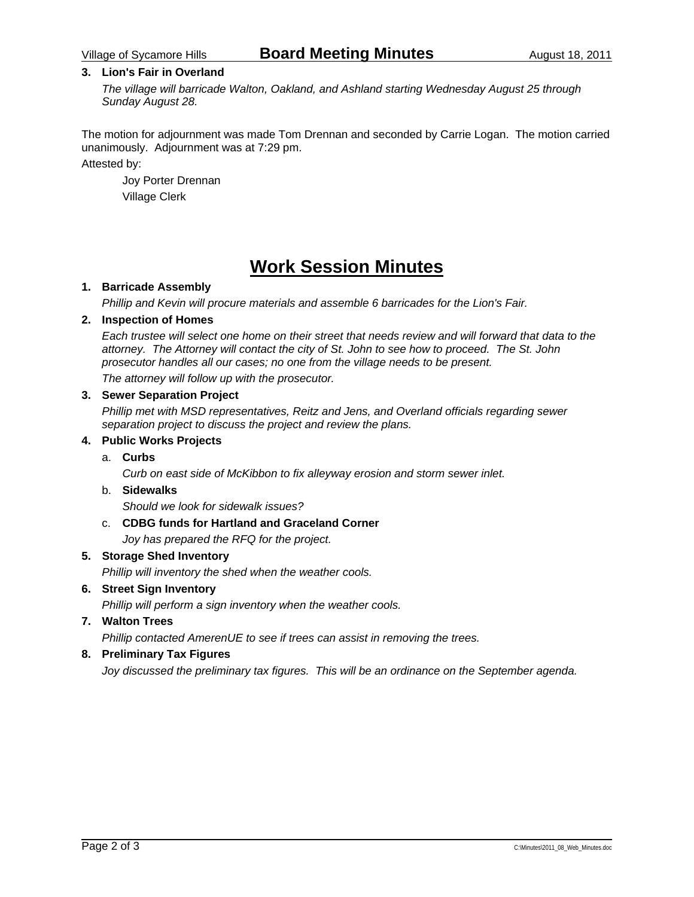### **3. Lion's Fair in Overland**

*The village will barricade Walton, Oakland, and Ashland starting Wednesday August 25 through Sunday August 28.* 

The motion for adjournment was made Tom Drennan and seconded by Carrie Logan. The motion carried unanimously. Adjournment was at 7:29 pm.

### Attested by:

 Joy Porter Drennan Village Clerk

# **Work Session Minutes**

### **1. Barricade Assembly**

*Phillip and Kevin will procure materials and assemble 6 barricades for the Lion's Fair.* 

### **2. Inspection of Homes**

*Each trustee will select one home on their street that needs review and will forward that data to the attorney. The Attorney will contact the city of St. John to see how to proceed. The St. John prosecutor handles all our cases; no one from the village needs to be present.* 

*The attorney will follow up with the prosecutor.* 

### **3. Sewer Separation Project**

*Phillip met with MSD representatives, Reitz and Jens, and Overland officials regarding sewer separation project to discuss the project and review the plans.* 

#### **4. Public Works Projects**

### a. **Curbs**

 *Curb on east side of McKibbon to fix alleyway erosion and storm sewer inlet.* 

#### b. **Sidewalks**

 *Should we look for sidewalk issues?* 

#### c. **CDBG funds for Hartland and Graceland Corner**

 *Joy has prepared the RFQ for the project.* 

### **5. Storage Shed Inventory**

*Phillip will inventory the shed when the weather cools.* 

### **6. Street Sign Inventory**

*Phillip will perform a sign inventory when the weather cools.* 

### **7. Walton Trees**

*Phillip contacted AmerenUE to see if trees can assist in removing the trees.* 

### **8. Preliminary Tax Figures**

*Joy discussed the preliminary tax figures. This will be an ordinance on the September agenda.*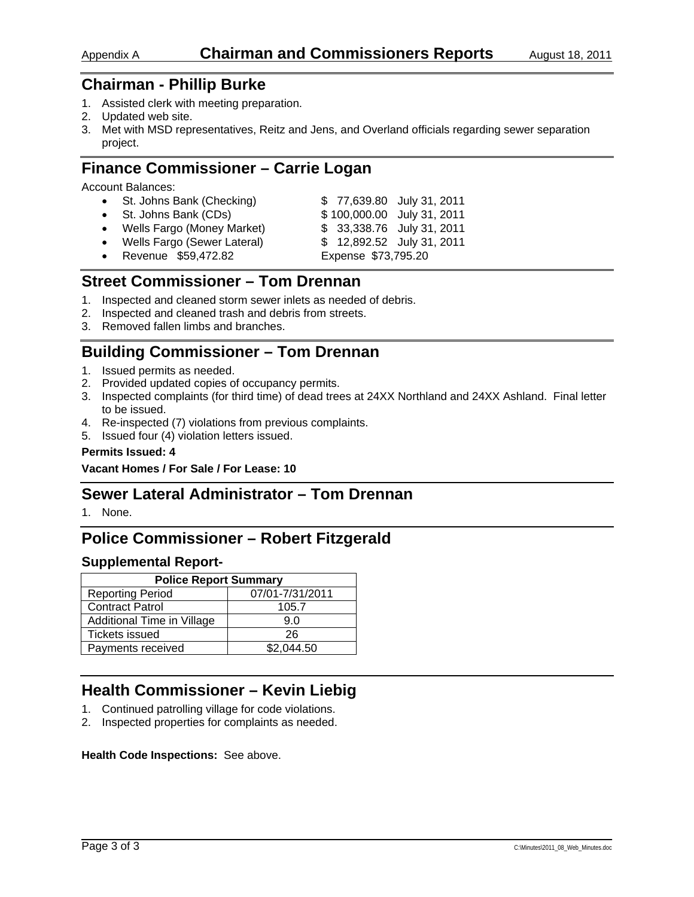- 1. Assisted clerk with meeting preparation.
- 2. Updated web site.
- 3. Met with MSD representatives, Reitz and Jens, and Overland officials regarding sewer separation project.

## **Finance Commissioner – Carrie Logan**

Account Balances:

| • St. Johns Bank (Checking)   | \$77,639.80 July 31, 2011  |
|-------------------------------|----------------------------|
| • St. Johns Bank (CDs)        | \$100,000.00 July 31, 2011 |
| • Wells Fargo (Money Market)  | \$ 33,338.76 July 31, 2011 |
| • Wells Fargo (Sewer Lateral) | \$12,892.52 July 31, 2011  |
| • Revenue \$59,472.82         | Expense \$73,795.20        |

## **Street Commissioner – Tom Drennan**

- 1. Inspected and cleaned storm sewer inlets as needed of debris.
- 2. Inspected and cleaned trash and debris from streets.
- 3. Removed fallen limbs and branches.

# **Building Commissioner – Tom Drennan**

- 1. Issued permits as needed.
- 2. Provided updated copies of occupancy permits.
- 3. Inspected complaints (for third time) of dead trees at 24XX Northland and 24XX Ashland. Final letter to be issued.
- 4. Re-inspected (7) violations from previous complaints.
- 5. Issued four (4) violation letters issued.

### **Permits Issued: 4**

**Vacant Homes / For Sale / For Lease: 10** 

### **Sewer Lateral Administrator – Tom Drennan**

1. None.

# **Police Commissioner – Robert Fitzgerald**

### **Supplemental Report-**

| <b>Police Report Summary</b> |                 |  |  |  |
|------------------------------|-----------------|--|--|--|
| <b>Reporting Period</b>      | 07/01-7/31/2011 |  |  |  |
| <b>Contract Patrol</b>       | 105.7           |  |  |  |
| Additional Time in Village   | 9 N             |  |  |  |
| <b>Tickets issued</b>        | 26              |  |  |  |
| Payments received            | \$2,044.50      |  |  |  |

# **Health Commissioner – Kevin Liebig**

- 1. Continued patrolling village for code violations.
- 2. Inspected properties for complaints as needed.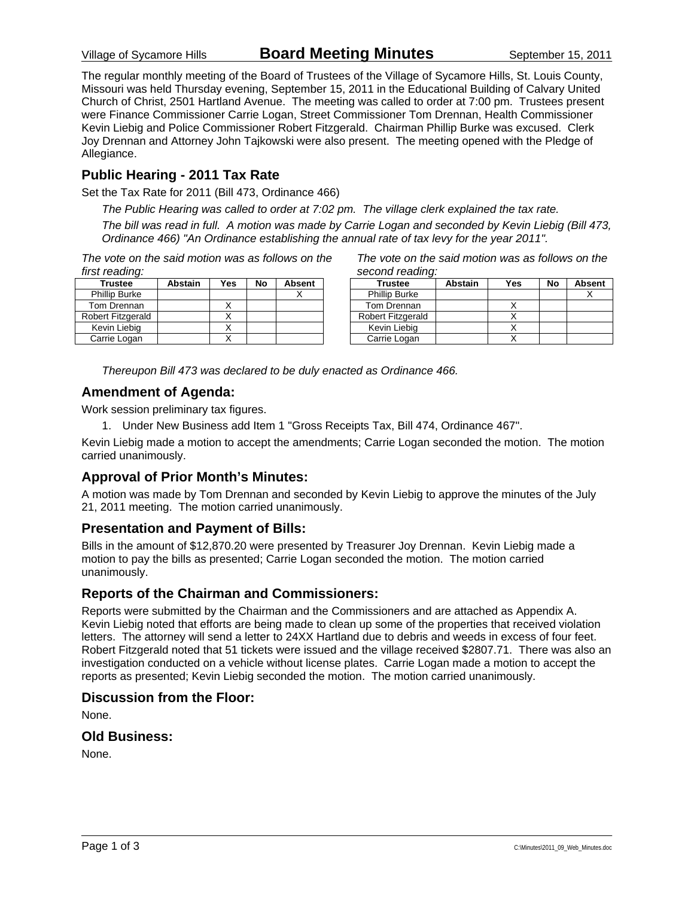Village of Sycamore Hills **Board Meeting Minutes** September 15, 2011

The regular monthly meeting of the Board of Trustees of the Village of Sycamore Hills, St. Louis County, Missouri was held Thursday evening, September 15, 2011 in the Educational Building of Calvary United Church of Christ, 2501 Hartland Avenue. The meeting was called to order at 7:00 pm. Trustees present were Finance Commissioner Carrie Logan, Street Commissioner Tom Drennan, Health Commissioner Kevin Liebig and Police Commissioner Robert Fitzgerald. Chairman Phillip Burke was excused. Clerk Joy Drennan and Attorney John Tajkowski were also present. The meeting opened with the Pledge of Allegiance.

### **Public Hearing - 2011 Tax Rate**

Set the Tax Rate for 2011 (Bill 473, Ordinance 466)

*The Public Hearing was called to order at 7:02 pm. The village clerk explained the tax rate.* 

*The bill was read in full. A motion was made by Carrie Logan and seconded by Kevin Liebig (Bill 473, Ordinance 466) "An Ordinance establishing the annual rate of tax levy for the year 2011".* 

*The vote on the said motion was as follows on the first reading:* 

| <b>Trustee</b>       | <b>Abstain</b> | Yes | No | Absent |
|----------------------|----------------|-----|----|--------|
| <b>Phillip Burke</b> |                |     |    |        |
| Tom Drennan          |                |     |    |        |
| Robert Fitzgerald    |                |     |    |        |
| Kevin Liebia         |                |     |    |        |
| Carrie Logan         |                |     |    |        |

| The vote on the said motion was as follows on the |  |  |
|---------------------------------------------------|--|--|
| second reading:                                   |  |  |

| <b>Trustee</b>       | <b>Abstain</b> | Yes | No | <b>Absent</b> |
|----------------------|----------------|-----|----|---------------|
| <b>Phillip Burke</b> |                |     |    |               |
| Tom Drennan          |                |     |    |               |
| Robert Fitzgerald    |                |     |    |               |
| Kevin Liebig         |                |     |    |               |
| Carrie Logan         |                |     |    |               |

*Thereupon Bill 473 was declared to be duly enacted as Ordinance 466.* 

### **Amendment of Agenda:**

Work session preliminary tax figures.

1. Under New Business add Item 1 "Gross Receipts Tax, Bill 474, Ordinance 467".

Kevin Liebig made a motion to accept the amendments; Carrie Logan seconded the motion. The motion carried unanimously.

### **Approval of Prior Month's Minutes:**

A motion was made by Tom Drennan and seconded by Kevin Liebig to approve the minutes of the July 21, 2011 meeting. The motion carried unanimously.

### **Presentation and Payment of Bills:**

Bills in the amount of \$12,870.20 were presented by Treasurer Joy Drennan. Kevin Liebig made a motion to pay the bills as presented; Carrie Logan seconded the motion. The motion carried unanimously.

### **Reports of the Chairman and Commissioners:**

Reports were submitted by the Chairman and the Commissioners and are attached as Appendix A. Kevin Liebig noted that efforts are being made to clean up some of the properties that received violation letters. The attorney will send a letter to 24XX Hartland due to debris and weeds in excess of four feet. Robert Fitzgerald noted that 51 tickets were issued and the village received \$2807.71. There was also an investigation conducted on a vehicle without license plates. Carrie Logan made a motion to accept the reports as presented; Kevin Liebig seconded the motion. The motion carried unanimously.

### **Discussion from the Floor:**

None.

### **Old Business:**

None.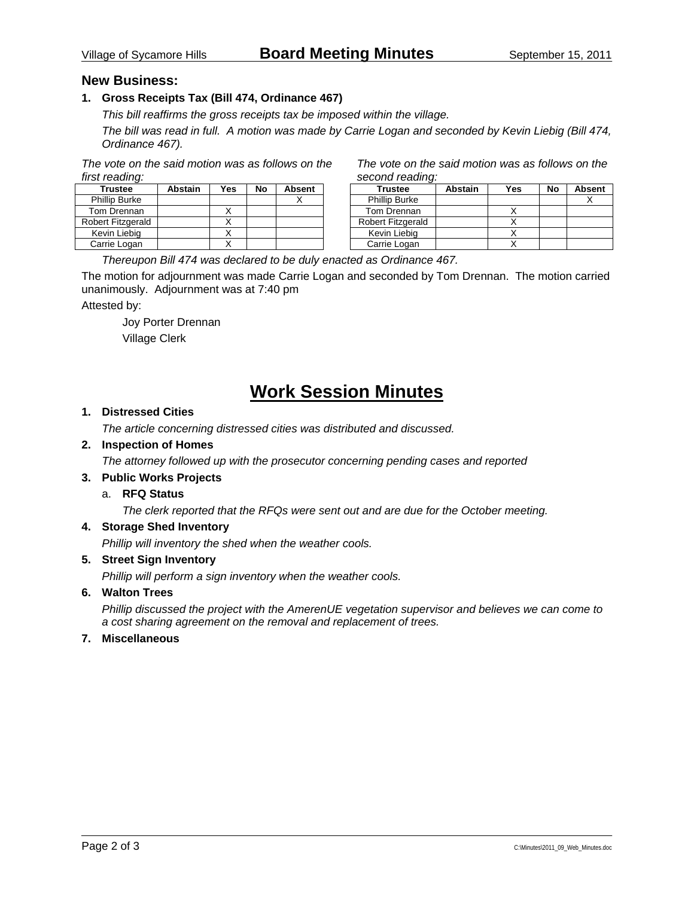### **New Business:**

### **1. Gross Receipts Tax (Bill 474, Ordinance 467)**

*This bill reaffirms the gross receipts tax be imposed within the village.* 

*The bill was read in full. A motion was made by Carrie Logan and seconded by Kevin Liebig (Bill 474, Ordinance 467).* 

*The vote on the said motion was as follows on the first reading:* 

| <b>Trustee</b>       | <b>Abstain</b> | Yes | No | <b>Absent</b> |
|----------------------|----------------|-----|----|---------------|
| <b>Phillip Burke</b> |                |     |    |               |
| Tom Drennan          |                |     |    |               |
| Robert Fitzgerald    |                |     |    |               |
| Kevin Liebig         |                |     |    |               |
| Carrie Logan         |                |     |    |               |

| The vote on the said motion was as follows on the |  |
|---------------------------------------------------|--|
| second reading:                                   |  |

| <b>Trustee</b>           | <b>Abstain</b> | Yes | No | <b>Absent</b> |
|--------------------------|----------------|-----|----|---------------|
| <b>Phillip Burke</b>     |                |     |    |               |
| Tom Drennan              |                |     |    |               |
| <b>Robert Fitzgerald</b> |                |     |    |               |
| Kevin Liebig             |                |     |    |               |
| Carrie Logan             |                |     |    |               |

*Thereupon Bill 474 was declared to be duly enacted as Ordinance 467.* 

The motion for adjournment was made Carrie Logan and seconded by Tom Drennan. The motion carried unanimously. Adjournment was at 7:40 pm

Attested by:

 Joy Porter Drennan Village Clerk

# **Work Session Minutes**

### **1. Distressed Cities**

*The article concerning distressed cities was distributed and discussed.* 

### **2. Inspection of Homes**

*The attorney followed up with the prosecutor concerning pending cases and reported* 

### **3. Public Works Projects**

a. **RFQ Status** 

 *The clerk reported that the RFQs were sent out and are due for the October meeting.* 

#### **4. Storage Shed Inventory**

*Phillip will inventory the shed when the weather cools.* 

### **5. Street Sign Inventory**

*Phillip will perform a sign inventory when the weather cools.* 

### **6. Walton Trees**

*Phillip discussed the project with the AmerenUE vegetation supervisor and believes we can come to a cost sharing agreement on the removal and replacement of trees.* 

#### **7. Miscellaneous**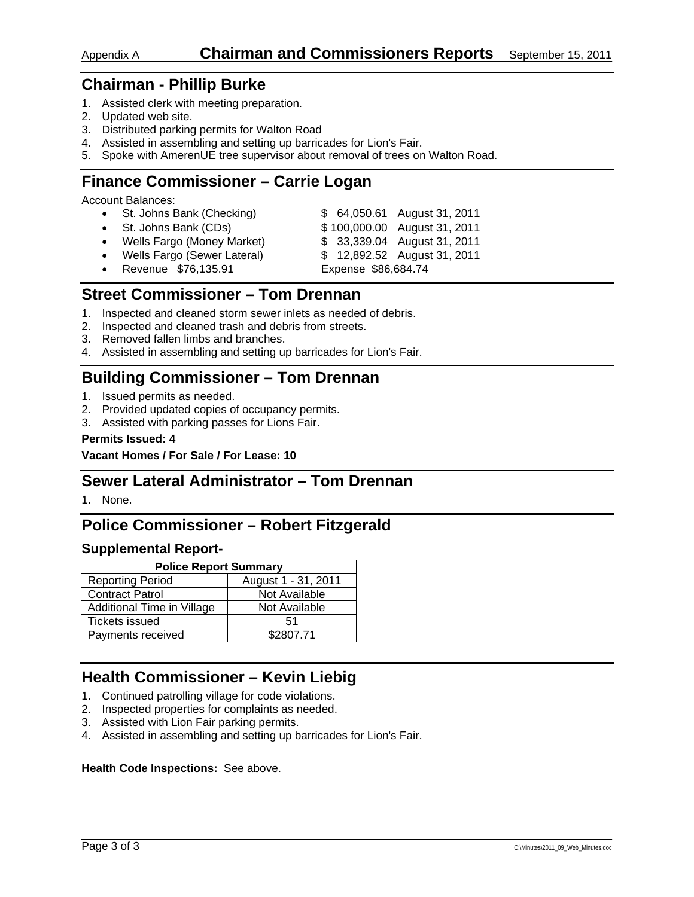- 1. Assisted clerk with meeting preparation.
- 2. Updated web site.
- 3. Distributed parking permits for Walton Road
- 4. Assisted in assembling and setting up barricades for Lion's Fair.
- 5. Spoke with AmerenUE tree supervisor about removal of trees on Walton Road.

## **Finance Commissioner – Carrie Logan**

Account Balances:

| • St. Johns Bank (Checking)   | \$64,050.61 August 31, 2011  |
|-------------------------------|------------------------------|
| • St. Johns Bank (CDs)        | \$100,000.00 August 31, 2011 |
| • Wells Fargo (Money Market)  | \$ 33,339.04 August 31, 2011 |
| • Wells Fargo (Sewer Lateral) | \$12,892.52 August 31, 2011  |
| • Revenue \$76,135.91         | Expense \$86,684.74          |

# **Street Commissioner – Tom Drennan**

- 1. Inspected and cleaned storm sewer inlets as needed of debris.
- 2. Inspected and cleaned trash and debris from streets.
- 3. Removed fallen limbs and branches.
- 4. Assisted in assembling and setting up barricades for Lion's Fair.

# **Building Commissioner – Tom Drennan**

- 1. Issued permits as needed.
- 2. Provided updated copies of occupancy permits.
- 3. Assisted with parking passes for Lions Fair.

### **Permits Issued: 4**

**Vacant Homes / For Sale / For Lease: 10** 

### **Sewer Lateral Administrator – Tom Drennan**

1. None.

# **Police Commissioner – Robert Fitzgerald**

### **Supplemental Report-**

| <b>Police Report Summary</b> |                     |  |  |  |
|------------------------------|---------------------|--|--|--|
| <b>Reporting Period</b>      | August 1 - 31, 2011 |  |  |  |
| <b>Contract Patrol</b>       | Not Available       |  |  |  |
| Additional Time in Village   | Not Available       |  |  |  |
| <b>Tickets issued</b>        | 51                  |  |  |  |
| Payments received            | \$2807.71           |  |  |  |

# **Health Commissioner – Kevin Liebig**

- 1. Continued patrolling village for code violations.
- 2. Inspected properties for complaints as needed.
- 3. Assisted with Lion Fair parking permits.
- 4. Assisted in assembling and setting up barricades for Lion's Fair.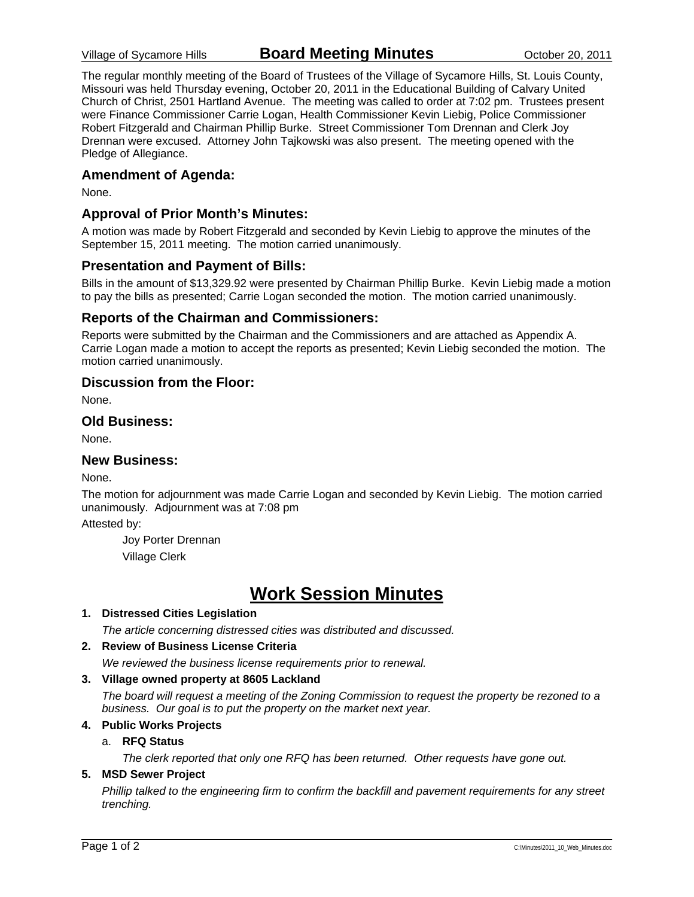The regular monthly meeting of the Board of Trustees of the Village of Sycamore Hills, St. Louis County, Missouri was held Thursday evening, October 20, 2011 in the Educational Building of Calvary United Church of Christ, 2501 Hartland Avenue. The meeting was called to order at 7:02 pm. Trustees present were Finance Commissioner Carrie Logan, Health Commissioner Kevin Liebig, Police Commissioner Robert Fitzgerald and Chairman Phillip Burke. Street Commissioner Tom Drennan and Clerk Joy Drennan were excused. Attorney John Tajkowski was also present. The meeting opened with the Pledge of Allegiance.

### **Amendment of Agenda:**

None.

### **Approval of Prior Month's Minutes:**

A motion was made by Robert Fitzgerald and seconded by Kevin Liebig to approve the minutes of the September 15, 2011 meeting. The motion carried unanimously.

### **Presentation and Payment of Bills:**

Bills in the amount of \$13,329.92 were presented by Chairman Phillip Burke. Kevin Liebig made a motion to pay the bills as presented; Carrie Logan seconded the motion. The motion carried unanimously.

### **Reports of the Chairman and Commissioners:**

Reports were submitted by the Chairman and the Commissioners and are attached as Appendix A. Carrie Logan made a motion to accept the reports as presented; Kevin Liebig seconded the motion. The motion carried unanimously.

### **Discussion from the Floor:**

None.

### **Old Business:**

None.

### **New Business:**

None.

The motion for adjournment was made Carrie Logan and seconded by Kevin Liebig. The motion carried unanimously. Adjournment was at 7:08 pm

Attested by:

 Joy Porter Drennan Village Clerk

# **Work Session Minutes**

### **1. Distressed Cities Legislation**

*The article concerning distressed cities was distributed and discussed.* 

### **2. Review of Business License Criteria**

*We reviewed the business license requirements prior to renewal.* 

### **3. Village owned property at 8605 Lackland**

*The board will request a meeting of the Zoning Commission to request the property be rezoned to a business. Our goal is to put the property on the market next year.* 

#### **4. Public Works Projects**

#### a. **RFQ Status**

 *The clerk reported that only one RFQ has been returned. Other requests have gone out.* 

### **5. MSD Sewer Project**

*Phillip talked to the engineering firm to confirm the backfill and pavement requirements for any street trenching.*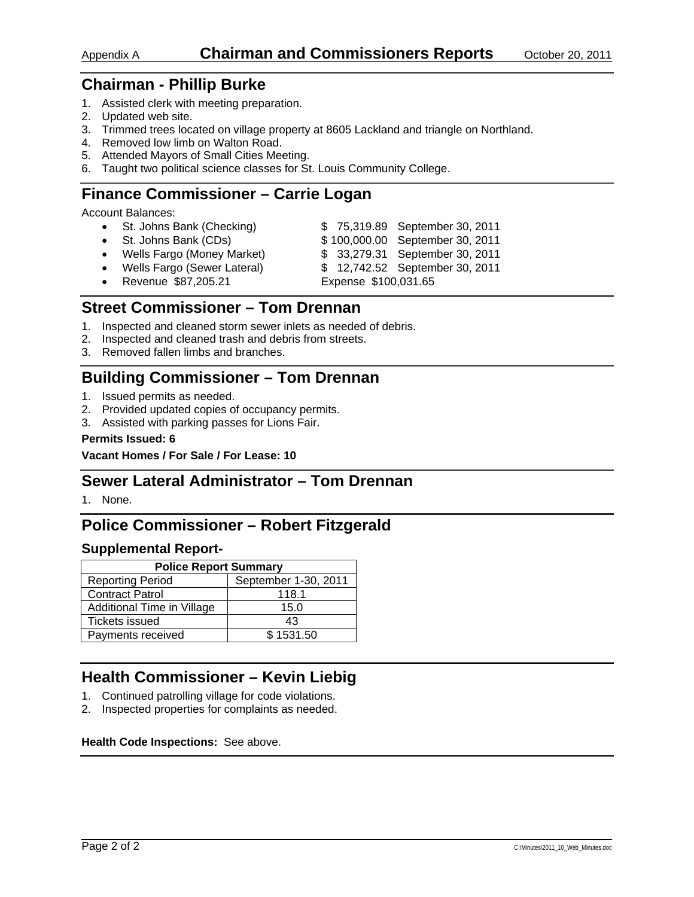- 1. Assisted clerk with meeting preparation.
- 2. Updated web site.
- 3. Trimmed trees located on village property at 8605 Lackland and triangle on Northland.
- 4. Removed low limb on Walton Road.
- 5. Attended Mayors of Small Cities Meeting.
- 6. Taught two political science classes for St. Louis Community College.

# **Finance Commissioner – Carrie Logan**

Account Balances:

- St. Johns Bank (Checking) \$ 75,319.89 September 30, 2011 • St. Johns Bank (CDs)  $$100,000.00$  September 30, 2011
- Wells Fargo (Money Market) \$ 33,279.31 September 30, 2011
- 
- 
- Wells Fargo (Sewer Lateral) \$ 12,742.52 September 30, 2011
	- Revenue \$87,205.21 Expense \$100,031.65
- 

### **Street Commissioner – Tom Drennan**

- 1. Inspected and cleaned storm sewer inlets as needed of debris.
- 2. Inspected and cleaned trash and debris from streets.
- 3. Removed fallen limbs and branches.

### **Building Commissioner – Tom Drennan**

- 1. Issued permits as needed.
- 2. Provided updated copies of occupancy permits.
- 3. Assisted with parking passes for Lions Fair.

#### **Permits Issued: 6**

**Vacant Homes / For Sale / For Lease: 10** 

### **Sewer Lateral Administrator – Tom Drennan**

1. None.

### **Police Commissioner – Robert Fitzgerald**

### **Supplemental Report-**

| <b>Police Report Summary</b> |                      |  |  |  |
|------------------------------|----------------------|--|--|--|
| <b>Reporting Period</b>      | September 1-30, 2011 |  |  |  |
| <b>Contract Patrol</b>       | 118.1                |  |  |  |
| Additional Time in Village   | 15.0                 |  |  |  |
| <b>Tickets issued</b>        | 43                   |  |  |  |
| Payments received            | \$1531.50            |  |  |  |

# **Health Commissioner – Kevin Liebig**

- 1. Continued patrolling village for code violations.
- 2. Inspected properties for complaints as needed.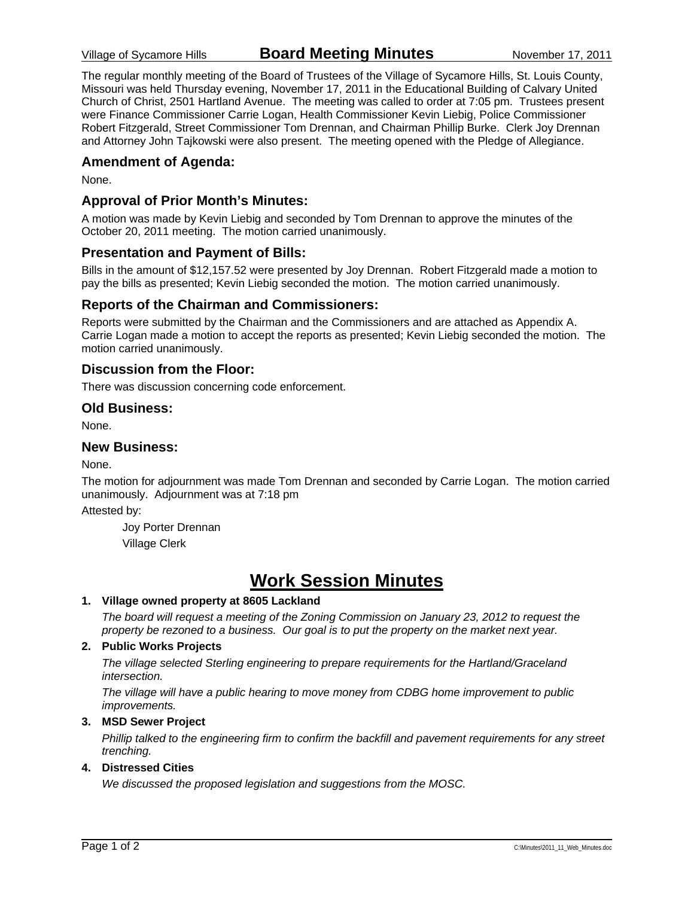The regular monthly meeting of the Board of Trustees of the Village of Sycamore Hills, St. Louis County, Missouri was held Thursday evening, November 17, 2011 in the Educational Building of Calvary United Church of Christ, 2501 Hartland Avenue. The meeting was called to order at 7:05 pm. Trustees present were Finance Commissioner Carrie Logan, Health Commissioner Kevin Liebig, Police Commissioner Robert Fitzgerald, Street Commissioner Tom Drennan, and Chairman Phillip Burke. Clerk Joy Drennan and Attorney John Tajkowski were also present. The meeting opened with the Pledge of Allegiance.

### **Amendment of Agenda:**

None.

### **Approval of Prior Month's Minutes:**

A motion was made by Kevin Liebig and seconded by Tom Drennan to approve the minutes of the October 20, 2011 meeting. The motion carried unanimously.

### **Presentation and Payment of Bills:**

Bills in the amount of \$12,157.52 were presented by Joy Drennan. Robert Fitzgerald made a motion to pay the bills as presented; Kevin Liebig seconded the motion. The motion carried unanimously.

### **Reports of the Chairman and Commissioners:**

Reports were submitted by the Chairman and the Commissioners and are attached as Appendix A. Carrie Logan made a motion to accept the reports as presented; Kevin Liebig seconded the motion. The motion carried unanimously.

### **Discussion from the Floor:**

There was discussion concerning code enforcement.

### **Old Business:**

None.

### **New Business:**

None.

The motion for adjournment was made Tom Drennan and seconded by Carrie Logan. The motion carried unanimously. Adjournment was at 7:18 pm

Attested by:

Joy Porter Drennan

Village Clerk

# **Work Session Minutes**

#### **1. Village owned property at 8605 Lackland**

*The board will request a meeting of the Zoning Commission on January 23, 2012 to request the property be rezoned to a business. Our goal is to put the property on the market next year.* 

#### **2. Public Works Projects**

*The village selected Sterling engineering to prepare requirements for the Hartland/Graceland intersection.* 

*The village will have a public hearing to move money from CDBG home improvement to public improvements.* 

#### **3. MSD Sewer Project**

*Phillip talked to the engineering firm to confirm the backfill and pavement requirements for any street trenching.* 

### **4. Distressed Cities**

*We discussed the proposed legislation and suggestions from the MOSC.*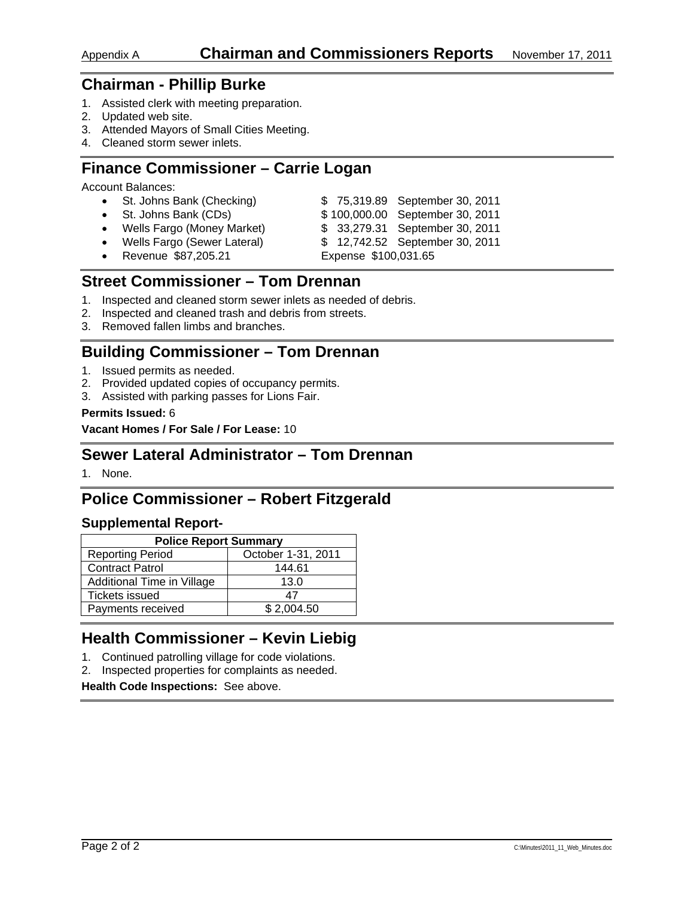- 1. Assisted clerk with meeting preparation.
- 2. Updated web site.
- 3. Attended Mayors of Small Cities Meeting.
- 4. Cleaned storm sewer inlets.

### **Finance Commissioner – Carrie Logan**

Account Balances:

• St. Johns Bank (Checking) \$ 75,319.89 September 30, 2011 • St. Johns Bank (CDs)  $$100,000.00$  September 30, 2011 • Wells Fargo (Money Market) \$ 33,279.31 September 30, 2011 • Wells Fargo (Sewer Lateral) \$ 12,742.52 September 30, 2011 • Revenue \$87,205.21 Expense \$100,031.65

## **Street Commissioner – Tom Drennan**

- 1. Inspected and cleaned storm sewer inlets as needed of debris.
- 2. Inspected and cleaned trash and debris from streets.
- 3. Removed fallen limbs and branches.

## **Building Commissioner – Tom Drennan**

- 1. Issued permits as needed.
- 2. Provided updated copies of occupancy permits.
- 3. Assisted with parking passes for Lions Fair.

### **Permits Issued:** 6

**Vacant Homes / For Sale / For Lease:** 10

### **Sewer Lateral Administrator – Tom Drennan**

1. None.

# **Police Commissioner – Robert Fitzgerald**

### **Supplemental Report-**

| <b>Police Report Summary</b> |                    |  |  |
|------------------------------|--------------------|--|--|
| <b>Reporting Period</b>      | October 1-31, 2011 |  |  |
| <b>Contract Patrol</b>       | 144.61             |  |  |
| Additional Time in Village   | 13.0               |  |  |
| <b>Tickets issued</b>        | 47                 |  |  |
| Payments received            | \$2,004.50         |  |  |

### **Health Commissioner – Kevin Liebig**

- 1. Continued patrolling village for code violations.
- 2. Inspected properties for complaints as needed.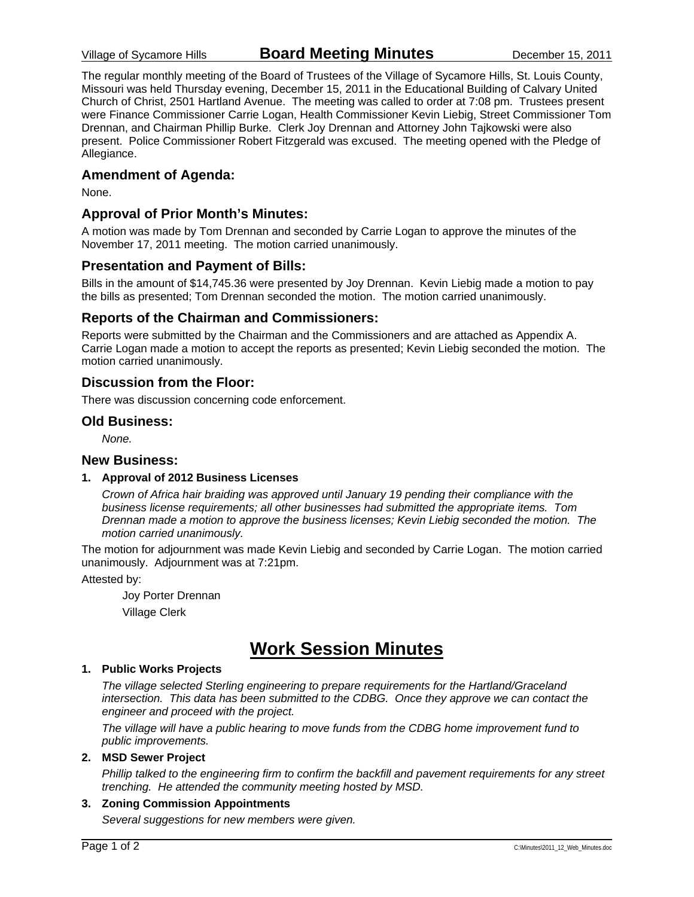The regular monthly meeting of the Board of Trustees of the Village of Sycamore Hills, St. Louis County, Missouri was held Thursday evening, December 15, 2011 in the Educational Building of Calvary United Church of Christ, 2501 Hartland Avenue. The meeting was called to order at 7:08 pm. Trustees present were Finance Commissioner Carrie Logan, Health Commissioner Kevin Liebig, Street Commissioner Tom Drennan, and Chairman Phillip Burke. Clerk Joy Drennan and Attorney John Tajkowski were also present. Police Commissioner Robert Fitzgerald was excused. The meeting opened with the Pledge of Allegiance.

### **Amendment of Agenda:**

None.

### **Approval of Prior Month's Minutes:**

A motion was made by Tom Drennan and seconded by Carrie Logan to approve the minutes of the November 17, 2011 meeting. The motion carried unanimously.

### **Presentation and Payment of Bills:**

Bills in the amount of \$14,745.36 were presented by Joy Drennan. Kevin Liebig made a motion to pay the bills as presented; Tom Drennan seconded the motion. The motion carried unanimously.

### **Reports of the Chairman and Commissioners:**

Reports were submitted by the Chairman and the Commissioners and are attached as Appendix A. Carrie Logan made a motion to accept the reports as presented; Kevin Liebig seconded the motion. The motion carried unanimously.

### **Discussion from the Floor:**

There was discussion concerning code enforcement.

### **Old Business:**

*None.* 

#### **New Business:**

#### **1. Approval of 2012 Business Licenses**

*Crown of Africa hair braiding was approved until January 19 pending their compliance with the business license requirements; all other businesses had submitted the appropriate items. Tom Drennan made a motion to approve the business licenses; Kevin Liebig seconded the motion. The motion carried unanimously.* 

The motion for adjournment was made Kevin Liebig and seconded by Carrie Logan. The motion carried unanimously. Adjournment was at 7:21pm.

Attested by:

 Joy Porter Drennan Village Clerk

# **Work Session Minutes**

#### **1. Public Works Projects**

*The village selected Sterling engineering to prepare requirements for the Hartland/Graceland intersection. This data has been submitted to the CDBG. Once they approve we can contact the engineer and proceed with the project.* 

*The village will have a public hearing to move funds from the CDBG home improvement fund to public improvements.* 

#### **2. MSD Sewer Project**

*Phillip talked to the engineering firm to confirm the backfill and pavement requirements for any street trenching. He attended the community meeting hosted by MSD.* 

### **3. Zoning Commission Appointments**

*Several suggestions for new members were given.*